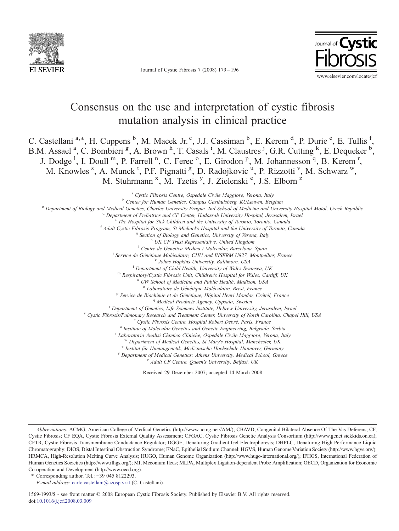

Journal of Cystic Fibrosis 7 (2008) 179–196



# Consensus on the use and interpretation of cystic fibrosis mutation analysis in clinical practice

C. Castellani<sup>a,\*</sup>, H. Cuppens<sup>b</sup>, M. Macek Jr.<sup>c</sup>, J.J. Cassiman<sup>b</sup>, E. Kerem<sup>d</sup>, P. Durie<sup>e</sup>, E. Tullis<sup>f</sup>, B.M. Assael<sup>a</sup>, C. Bombieri<sup>g</sup>, A. Brown<sup>h</sup>, T. Casals<sup>i</sup>, M. Claustres<sup>j</sup>, G.R. Cutting<sup>k</sup>, E. Dequeker<sup>b</sup>, J. Dodge<sup>1</sup>, I. Doull<sup>m</sup>, P. Farrell<sup>n</sup>, C. Ferec<sup>o</sup>, E. Girodon<sup>p</sup>, M. Johannesson<sup>q</sup>, B. Kerem<sup>r</sup>, M. Knowles <sup>s</sup>, A. Munck <sup>t</sup>, P.F. Pignatti <sup>g</sup>, D. Radojkovic <sup>u</sup>, P. Rizzotti <sup>v</sup>, M. Schwarz <sup>w</sup>, M. Stuhrmann<sup>x</sup>, M. Tzetis<sup>y</sup>, J. Zielenski<sup>e</sup>, J.S. Elborn<sup>z</sup>

<sup>a</sup> Cystic Fibrosis Centre, Ospedale Civile Maggiore, Verona, Italy <sup>b</sup> Center for Human Genetics, Campus Gasthuisberg, KULeuven, Belgium<br><sup>e</sup> Department of Biology and Medical Genetics, Charles University Prague–2nd School of Medicine and University Hospital Motol, Czech Republic<br><sup>d</sup> Depar  $^f$  Adult Cystic Fibrosis Program, St Michael's Hospital and the University of Toronto, Canada<br>  $^g$  Section of Biology and Genetics, University of Verona, Italy<br>  $^h$  UK CF Trust Representative, United Kingdom<br>  $^i$  Cen <sup>j</sup> Service de Génétique Moléculaire, CHU and INSERM U827, Montpellier, France k Johns Hopkins University, Baltimore, USA l Department of Child Health, University of Wales Swansea, UK m Respiratory/Cystic Fibrosis Unit, Children's Hospital for Wales, Cardiff, UK n UW School of Medicine and Public Health, Madison, USA <sup>o</sup> Laboratoire de Génétique Moléculaire, Brest, France<br><sup>p</sup> Service de Biochimie et de Génétique, Hôpital Henri Mondor, Créteil, France <sup>9</sup> Medical Products Agency, Uppsala, Sweden<br><sup>1</sup> Department of Genetics, Life Sciences Institute, Hebrew University, Jerusalem, Israel<br><sup>8</sup> Cystic Fibrosis/Pulmonary Research and Treatment Center, University of North Carol V Laboratorio Analisi Chimico Cliniche, Ospedale Civile Maggiore, Verona, Italy<br>
<sup>W</sup> Department of Medical Genetics, St Mary's Hospital, Manchester, UK<br>
<sup>X</sup> Institut für Humangenetik, Medizinische Hochschule Hannover, Germ <sup>y</sup> Department of Medical Genetics; Athens University, Medical School, Greece  $\frac{z}{t}$  Adult CF Centre, Queen's University, Belfast, UK

Received 29 December 2007; accepted 14 March 2008

Abbreviations: ACMG, American College of Medical Genetics (http://www.acmg.net//AM/); CBAVD, Congenital Bilateral Absence Of The Vas Deferens; CF, Cystic Fibrosis; CF EQA, Cystic Fibrosis External Quality Assessment; CFGAC, Cystic Fibrosis Genetic Analysis Consortium (http://www.genet.sickkids.on.ca); CFTR, Cystic Fibrosis Transmembrane Conductance Regulator; DGGE, Denaturing Gradient Gel Electrophoresis; DHPLC, Denaturing High Performance Liquid Chromatography; DIOS, Distal Intestinal Obstruction Syndrome; ENaC, Epithelial Sodium Channel; HGVS, Human Genome Variation Society (http://www.hgvs.org/); HRMCA, High-Resolution Melting Curve Analysis; HUGO, Human Genome Organization (http://www.hugo-international.org/); IFHGS, International Federation of Human Genetics Societies (http://www.ifhgs.org/); MI, Meconium Ileus; MLPA, Multiplex Ligation-dependent Probe Amplification; OECD, Organization for Economic Co-operation and Development (http://www.oecd.org).

<sup>⁎</sup> Corresponding author. Tel.: +39 045 8122293.

E-mail address: [carlo.castellani@azosp.vr.it](mailto:carlo.castellani@azosp.vr.it) (C. Castellani).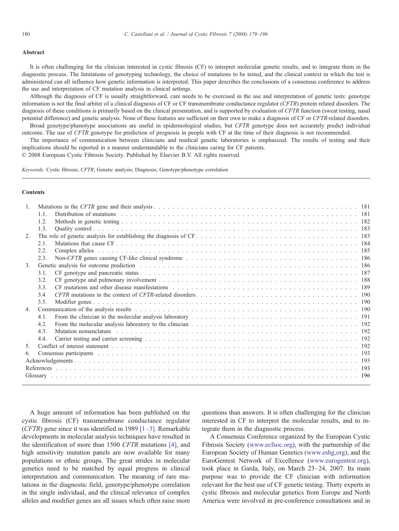#### **Abstract**

It is often challenging for the clinician interested in cystic fibrosis (CF) to interpret molecular genetic results, and to integrate them in the diagnostic process. The limitations of genotyping technology, the choice of mutations to be tested, and the clinical context in which the test is administered can all influence how genetic information is interpreted. This paper describes the conclusions of a consensus conference to address the use and interpretation of CF mutation analysis in clinical settings.

Although the diagnosis of CF is usually straightforward, care needs to be exercised in the use and interpretation of genetic tests: genotype information is not the final arbiter of a clinical diagnosis of CF or CF transmembrane conductance regulator (CFTR) protein related disorders. The diagnosis of these conditions is primarily based on the clinical presentation, and is supported by evaluation of CFTR function (sweat testing, nasal potential difference) and genetic analysis. None of these features are sufficient on their own to make a diagnosis of CF or CFTR-related disorders. Broad genotype/phenotype associations are useful in epidemiological studies, but CFTR genotype does not accurately predict individual

outcome. The use of CFTR genotype for prediction of prognosis in people with CF at the time of their diagnosis is not recommended.

The importance of communication between clinicians and medical genetic laboratories is emphasized. The results of testing and their implications should be reported in a manner understandable to the clinicians caring for CF patients.

© 2008 European Cystic Fibrosis Society. Published by Elsevier B.V. All rights reserved.

Keywords: Cystic fibrosis; CFTR; Genetic analysis; Diagnosis; Genotype/phenotype correlation

# **Contents**

| $\mathbf{1}$   |      |  |  |  |  |
|----------------|------|--|--|--|--|
|                | 1.1. |  |  |  |  |
|                | 1.2. |  |  |  |  |
|                | 1.3. |  |  |  |  |
| $2^{1}$        |      |  |  |  |  |
|                | 2.1. |  |  |  |  |
|                | 2.2. |  |  |  |  |
|                | 2.3. |  |  |  |  |
| $\mathcal{E}$  |      |  |  |  |  |
|                | 3.1. |  |  |  |  |
|                | 3.2. |  |  |  |  |
|                | 3.3  |  |  |  |  |
|                | 3.4  |  |  |  |  |
|                | 3.5  |  |  |  |  |
| 4.             |      |  |  |  |  |
|                | 4.1  |  |  |  |  |
|                | 4.2. |  |  |  |  |
|                | 4.3  |  |  |  |  |
|                | 4.4. |  |  |  |  |
| 5 <sub>1</sub> |      |  |  |  |  |
| 6.             |      |  |  |  |  |
|                |      |  |  |  |  |
|                |      |  |  |  |  |
|                |      |  |  |  |  |
|                |      |  |  |  |  |

A huge amount of information has been published on the cystic fibrosis (CF) transmembrane conductance regulator (CFTR) gene since it was identified in 1989 [1–[3\]](#page-14-0). Remarkable developments in molecular analysis techniques have resulted in the identification of more than 1500 CFTR mutations [\[4\],](#page-14-0) and high sensitivity mutation panels are now available for many populations or ethnic groups. The great strides in molecular genetics need to be matched by equal progress in clinical interpretation and communication. The meaning of rare mutations in the diagnostic field, genotype/phenotype correlation in the single individual, and the clinical relevance of complex alleles and modifier genes are all issues which often raise more

questions than answers. It is often challenging for the clinician interested in CF to interpret the molecular results, and to integrate them in the diagnostic process.

A Consensus Conference organized by the European Cystic Fibrosis Society ([www.ecfsoc.org\)](http://www.ecfsoc.org), with the partnership of the European Society of Human Genetics ([www.eshg,org](http://www.eshg,org)), and the EuroGentest Network of Excellence ([www.eurogentest.org](http://www.eurogentest.org)), took place in Garda, Italy, on March 23–24, 2007. Its main purpose was to provide the CF clinician with information relevant for the best use of CF genetic testing. Thirty experts in cystic fibrosis and molecular genetics from Europe and North America were involved in pre-conference consultations and in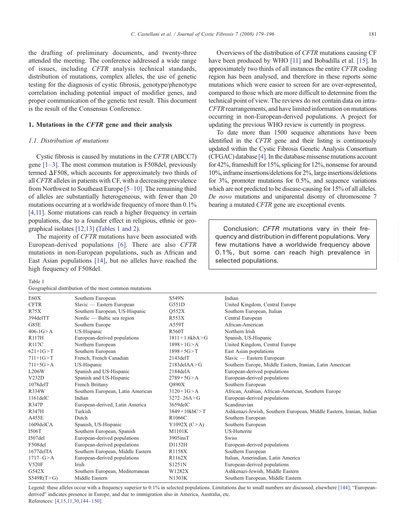the drafting of preliminary documents, and twenty-three attended the meeting. The conference addressed a wide range of issues, including CFTR analysis technical standards, distribution of mutations, complex alleles, the use of genetic testing for the diagnosis of cystic fibrosis, genotype/phenotype correlation including potential impact of modifier genes, and proper communication of the genetic test result. This document is the result of the Consensus Conference.

# 1. Mutations in the CFTR gene and their analysis

#### 1.1. Distribution of mutations

Cystic fibrosis is caused by mutations in the CFTR (ABCC7) gene  $[1-3]$ . The most common mutation is F508del, previously termed ΔF508, which accounts for approximately two thirds of all CFTR alleles in patients with CF, with a decreasing prevalence from Northwest to Southeast Europe [5–[10\]](#page-14-0). The remaining third of alleles are substantially heterogeneous, with fewer than 20 mutations occurring at a worldwide frequency of more than 0.1% [\[4,11\].](#page-14-0) Some mutations can reach a higher frequency in certain populations, due to a founder effect in religious, ethnic or geographical isolates [\[12,13\]](#page-14-0) (Tables 1 and 2).

The majority of CFTR mutations have been associated with European-derived populations [\[6\].](#page-14-0) There are also CFTR mutations in non-European populations, such as African and East Asian populations [\[14\]](#page-14-0), but no alleles have reached the high frequency of F508del.

Table 1

Geographical distribution of the most common mutations

Overviews of the distribution of CFTR mutations causing CF have been produced by WHO [\[11\]](#page-14-0) and Bobadilla et al. [\[15\].](#page-14-0) In approximately two thirds of all instances the entire CFTR coding region has been analysed, and therefore in these reports some mutations which were easier to screen for are over-represented, compared to those which are more difficult to determine from the technical point of view. The reviews do not contain data on intra-CFTR rearrangements, and have limited information on mutations occurring in non-European-derived populations. A project for updating the previous WHO review is currently in progress.

To date more than 1500 sequence alterations have been identified in the CFTR gene and their listing is continuously updated within the Cystic Fibrosis Genetic Analysis Consortium (CFGAC) database [\[4\].](#page-14-0) In the database missense mutations account for 42%, frameshift for 15%, splicing for 12%, nonsense for around 10%, inframe insertions/deletions for 2%, large insertions/deletions for 3%, promoter mutations for 0.5%, and sequence variations which are not predicted to be disease-causing for 15% of all alleles. De novo mutations and uniparental disomy of chromosome 7 bearing a mutated CFTR gene are exceptional events.

Conclusion: CFTR mutations vary in their frequency and distribution in different populations. Very few mutations have a worldwide frequency above 0.1%, but some can reach high prevalence in selected populations.

| E60X            | Southern European                 | S549N               | Indian                                                               |
|-----------------|-----------------------------------|---------------------|----------------------------------------------------------------------|
| <b>CFTR</b>     | Slavic — Eastern European         | G551D               | United Kingdom, Central Europe                                       |
| R75X            | Southern European, US-Hispanic    | O552X               | Southern European, Italian                                           |
| 394delTT        | Nordic — Baltic sea region        | R553X               | Central European                                                     |
| G85E            | Southern Europe                   | A559T               | African-American                                                     |
| $406 - 1G > A$  | US-Hispanic                       | <b>R560T</b>        | Northern Irish                                                       |
| R117H           | European-derived populations      | $1811 + 1.6kbA > G$ | Spanish, US-Hispanic                                                 |
| <b>R117C</b>    | Northern European                 | $1898 + 1G > A$     | United Kingdom, Central Europe                                       |
| $621+1G > T$    | Southern European                 | $1898 + 5G > T$     | East Asian populations                                               |
| $711+1G > T$    | French, French Canadian           | $2143$ del $T$      | Slavic — Eastern European                                            |
| $711+5G > A$    | US-Hispanic                       | $2183$ del $AA > G$ | Southern Europe, Middle Eastern, Iranian, Latin American             |
| L206W           | Spanish and US-Hispanic           | $2184$ delA         | European-derived populations                                         |
| V232D           | Spanish and US-Hispanic           | $2789 + 5G > A$     | European-derived populations                                         |
| $1078$ del $T$  | French Brittany                   | <b>O890X</b>        | Southern European                                                    |
| R334W           | Southern European, Latin American | $3120 + 1G > A$     | African, Arabian, African-American, Southern Europe                  |
| $1161$ del $C$  | Indian                            | $3272 - 26A > G$    | European-derived populations                                         |
| <b>R347P</b>    | European-derived, Latin America   | 3659delC            | Scandinavian                                                         |
| <b>R347H</b>    | Turkish                           | $3849 + 10kbC > T$  | Ashkenazi-Jewish, Southern European, Middle Eastern, Iranian, Indian |
| A455E           | Dutch                             | R1066C              | Southern European                                                    |
| $1609$ del $CA$ | Spanish, US-Hispanic              | Y1092X (C > A)      | Southern European                                                    |
| I506T           | Southern European, Spanish        | M1101K              | <b>US-Hutterite</b>                                                  |
| $I507$ del      | European-derived populations      | $3905$ ins $T$      | <b>Swiss</b>                                                         |
| F508del         | European-derived populations      | D1152H              | European-derived populations                                         |
| 1677delTA       | Southern European, Middle Eastern | R1158X              | Southern European                                                    |
| $1717-G > A$    | European-derived populations      | R1162X              | Italian, Amerindian, Latin America                                   |
| <b>V520F</b>    | Irish                             | S1251N              | European-derived populations                                         |
| G542X           | Southern European, Mediterranean  | W1282X              | Ashkenazi-Jewish, Middle Eastern                                     |
| S549R(T>G)      | Middle Eastern                    | N1303K              | Southern European, Middle Eastern                                    |

Legend: these alleles occur with a frequency superior to 0.1% in selected populations. Limitations due to small numbers are discussed, elsewhere [\[144\]](#page-17-0); "Europeanderived" indicates presence in Europe, and due to immigration also in America, Australia, etc.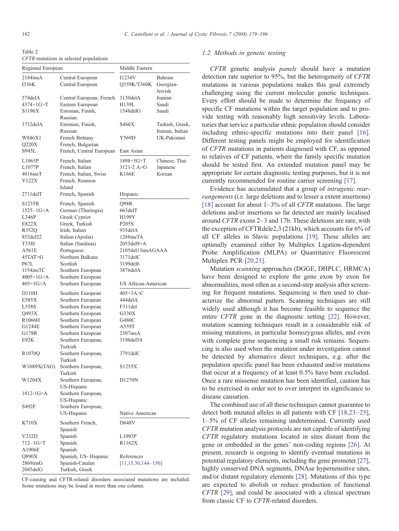Table 2 CFTR mutations in selected populations

| Regional European   |                               | Middle Eastern            |                     |
|---------------------|-------------------------------|---------------------------|---------------------|
| 2184insA            | Central European              | 11234V                    | Bahrain             |
| 1336K               | Central European              | Q359K/T360K               | Georgian-<br>Jewish |
| 574delA             | Central European, French      | 3130delA                  | Iranian             |
| $4374 + 1$ G $>$ T  | Eastern European              | H139L                     | Saudi               |
| S1196X              | Estonian, Finish,             | $1548$ del $G$            | Saudi               |
| 3732delA            | Russian<br>Estonian, Finish,  | S466X                     | Turkish, Greek,     |
|                     | Russian                       |                           | Iranian, Indian     |
| W846X1              | French Brittany               | Y569D                     | UK-Pakistani        |
| Q220X               | French, Bulgarian             |                           |                     |
| S945L               | French, Central European      | East Asian                |                     |
| L1065P              | French, Italian               | $1898 + 5G > T$           | Chinese, Thai       |
| L1077P              | French, Italian               | $3121 - 2$ A $>G$         | Japanese            |
| $4016$ ins $T$      | French, Italian, Swiss        | K166E                     | Korean              |
| Y122X               | French, Reunion               |                           |                     |
|                     | Island                        |                           |                     |
| $2711$ del $T$      | French, Spanish               | Hispanic                  |                     |
| S1235R              | French, Spanish               | Q98R                      |                     |
| $1525 - 1G > A$     | German (Thuringia)            | 663delT                   |                     |
| L346P               | Greek Cypriot                 | H199Y                     |                     |
| E822X               | Greek, Turkish                | P205S                     |                     |
| R352Q               | Irish, Italian                | 935delA                   |                     |
| 852del22            | Italian (Apulia)              | 1288insTA                 |                     |
| T338I               | Italian (Sardinia)            | 2055del9>A                |                     |
| A561E               | Portuguese                    | 2105del13insAGAAA         |                     |
| 45TAT>G             | Northern Balkans              | $3171$ del $C$            |                     |
| <b>P67L</b>         | Scottish                      | 3199del6                  |                     |
| 1154insTC           | Southern European             | 3876delA                  |                     |
| $4005+1G > A$       | Southern European             |                           |                     |
| $405+1G > A$        | Southern European             | US African-American       |                     |
| D110H               | Southern European             | $405 + 3A > C$            |                     |
| E585X               | Southern European             | 444delA                   |                     |
| L558S               | Southern European             | F311del                   |                     |
| Q493X               | Southern European             | G330X                     |                     |
| R1066H              | Southern European             | G480C                     |                     |
| G1244E              | Southern European             | A559T                     |                     |
| G178R               | Southern European             | $2307$ ins $A$            |                     |
| E92K                | Southern European,            | 3196del54                 |                     |
|                     | Turkish                       |                           |                     |
| R <sub>1070</sub> Q | Southern European,<br>Turkish | 3791delC                  |                     |
| W1089X(TAG)         | Southern European,            | S1255X                    |                     |
|                     | Turkish                       |                           |                     |
| W1204X              | Southern European,            | D1270N                    |                     |
|                     | US-Hispanic                   |                           |                     |
| 1812-1G>A           | Southern European,            |                           |                     |
|                     | US-Hispanic                   |                           |                     |
| S492F               | Southern European,            |                           |                     |
|                     | US-Hispanic                   | Native American           |                     |
| K710X               | Southern French,              | D648V                     |                     |
|                     | Spanish                       |                           |                     |
| V232D               | Spanish                       | L1093P                    |                     |
| 712–1G>T            | Spanish                       | R <sub>1162</sub> X       |                     |
| A1006E              | Spanish                       |                           |                     |
| Q890X               | Spanish, US-Hispanic          | References                |                     |
| 2869insG            | Spanish-Catalan               | $[11, 15, 30, 144 - 150]$ |                     |
| 2043delG            | Turkish, Greek                |                           |                     |
|                     |                               |                           |                     |

CF-causing and CFTR-related disorders associated mutations are included. Some mutations may be found in more than one column.

## 1.2. Methods in genetic testing

CFTR genetic analysis panels should have a mutation detection rate superior to 95%, but the heterogeneity of CFTR mutations in various populations makes this goal extremely challenging using the current molecular genetic techniques. Every effort should be made to determine the frequency of specific CF mutations within the target population and to provide testing with reasonably high sensitivity levels. Laboratories that service a particular ethnic population should consider including ethnic-specific mutations into their panel [\[16\]](#page-14-0). Different testing panels might be employed for identification of CFTR mutations in patients diagnosed with CF, as opposed to relatives of CF patients, where the family specific mutation should be tested first. An extended mutation panel may be appropriate for certain diagnostic testing purposes, but it is not currently recommended for routine carrier screening [\[17\]](#page-14-0).

Evidence has accumulated that a group of intragenic rearrangements (i.e. large deletions and to lesser a extent insertions) [\[18\]](#page-14-0) account for about  $1-3\%$  of all *CFTR* mutations. The large deletions and/or insertions so far detected are mainly localised around CFTR exons 2–3 and 17b. These deletions are rare, with the exception of CFTRdele2,3 (21kb), which accounts for 6% of all CF alleles in Slavic populations [\[19\]](#page-14-0). These alleles are optimally examined either by Multiplex Ligation-dependent Probe Amplification (MLPA) or Quantitative Fluorescent Multiplex PCR [\[20,21\]](#page-14-0).

Mutation scanning approaches (DGGE, DHPLC, HRMCA) have been designed to explore the gene exon by exon for abnormalities, most often as a second-step analysis after screening for frequent mutations. Sequencing is then used to characterize the abnormal pattern. Scanning techniques are still widely used although it has become feasible to sequence the entire CFTR gene in the diagnostic setting [\[22\].](#page-14-0) However, mutation scanning techniques result in a considerable risk of missing mutations, in particular homozygous alleles, and even with complete gene sequencing a small risk remains. Sequencing is also used when the mutation under investigation cannot be detected by alternative direct techniques, e.g. after the population specific panel has been exhausted and/or mutations that occur at a frequency of at least 0.5% have been excluded. Once a rare missense mutation has been identified, caution has to be exercised in order not to over interpret its significance to disease causation.

The combined use of all these techniques cannot guarantee to detect both mutated alleles in all patients with CF [\[18,23](#page-14-0)–25], 1–5% of CF alleles remaining undetermined. Currently used CFTR mutation analysis protocols are not capable of identifying CFTR regulatory mutations located in sites distant from the gene or embedded in the genes' non-coding regions [\[26\].](#page-14-0) At present, research is ongoing to identify eventual mutations in potential regulatory elements, including the gene promoter [\[27\]](#page-14-0), highly conserved DNA segments, DNAse hypersensitive sites, and/or distant regulatory elements [\[28\].](#page-14-0) Mutations of this type are expected to abolish or reduce production of functional CFTR [\[29\]](#page-14-0), and could be associated with a clinical spectrum from classic CF to CFTR-related disorders.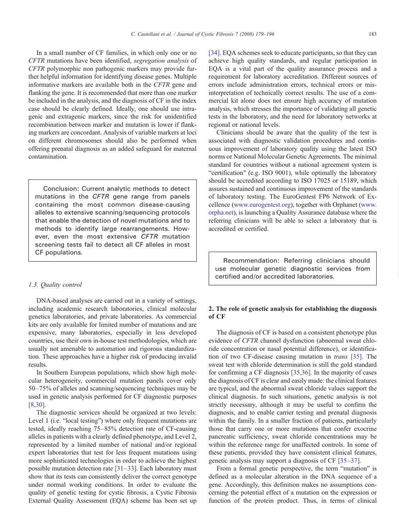In a small number of CF families, in which only one or no CFTR mutations have been identified, segregation analysis of CFTR polymorphic non pathogenic markers may provide further helpful information for identifying disease genes. Multiple informative markers are available both in the CFTR gene and flanking the gene. It is recommended that more than one marker be included in the analysis, and the diagnosis of CF in the index case should be clearly defined. Ideally, one should use intragenic and extragenic markers, since the risk for unidentified recombination between marker and mutation is lower if flanking markers are concordant. Analysis of variable markers at loci on different chromosomes should also be performed when offering prenatal diagnosis as an added safeguard for maternal contamination.

Conclusion: Current analytic methods to detect mutations in the CFTR gene range from panels containing the most common disease-causing alleles to extensive scanning/sequencing protocols that enable the detection of novel mutations and to methods to identify large rearrangements. However, even the most extensive CFTR mutation screening tests fail to detect all CF alleles in most CF populations.

#### 1.3. Quality control

DNA-based analyses are carried out in a variety of settings, including academic research laboratories, clinical molecular genetics laboratories, and private laboratories. As commercial kits are only available for limited number of mutations and are expensive, many laboratories, especially in less developed countries, use their own in-house test methodologies, which are usually not amenable to automation and rigorous standardization. These approaches have a higher risk of producing invalid results.

In Southern European populations, which show high molecular heterogeneity, commercial mutation panels cover only 50–75% of alleles and scanning/sequencing techniques may be used in genetic analysis performed for CF diagnostic purposes [\[8,30\]](#page-14-0).

The diagnostic services should be organized at two levels: Level 1 (i.e. "local testing") where only frequent mutations are tested, ideally reaching 75–85% detection rate of CF-causing alleles in patients with a clearly defined phenotype, and Level 2, represented by a limited number of national and/or regional expert laboratories that test for less frequent mutations using more sophisticated technologies in order to achieve the highest possible mutation detection rate [31–[33\].](#page-14-0) Each laboratory must show that its tests can consistently deliver the correct genotype under normal working conditions. In order to evaluate the quality of genetic testing for cystic fibrosis, a Cystic Fibrosis External Quality Assessment (EQA) scheme has been set up [\[34\].](#page-14-0) EQA schemes seek to educate participants, so that they can achieve high quality standards, and regular participation in EQA is a vital part of the quality assurance process and a requirement for laboratory accreditation. Different sources of errors include administration errors, technical errors or misinterpretation of technically correct results. The use of a commercial kit alone does not ensure high accuracy of mutation analysis, which stresses the importance of validating all genetic tests in the laboratory, and the need for laboratory networks at regional or national levels.

Clinicians should be aware that the quality of the test is associated with diagnostic validation procedures and continuous improvement of laboratory quality using the latest ISO norms or National Molecular Genetic Agreements. The minimal standard for countries without a national agreement system is "certification" (e.g. ISO 9001), while optimally the laboratory should be accredited according to ISO 17025 or 15189, which assures sustained and continuous improvement of the standards of laboratory testing. The EuroGentest FP6 Network of Excellence [\(www.eurogentest.org\)](http://www.eurogentest.org), together with Orphanet [\(www.](http://www.orpha.net) [orpha.net\)](http://www.orpha.net), is launching a Quality Assurance database where the referring clinicians will be able to select a laboratory that is accredited or certified.

Recommendation: Referring clinicians should use molecular genetic diagnostic services from certified and/or accredited laboratories.

# 2. The role of genetic analysis for establishing the diagnosis of CF

The diagnosis of CF is based on a consistent phenotype plus evidence of CFTR channel dysfunction (abnormal sweat chloride concentration or nasal potential difference), or identification of two CF-disease causing mutation in trans [\[35\]](#page-14-0). The sweat test with chloride determination is still the gold standard for confirming a CF diagnosis [\[35,36\].](#page-14-0) In the majority of cases the diagnosis of CF is clear and easily made: the clinical features are typical, and the abnormal sweat chloride values support the clinical diagnosis. In such situations, genetic analysis is not strictly necessary, although it may be useful to confirm the diagnosis, and to enable carrier testing and prenatal diagnosis within the family. In a smaller fraction of patients, particularly those that carry one or more mutations that confer exocrine pancreatic sufficiency, sweat chloride concentrations may be within the reference range for unaffected controls. In some of these patients, provided they have consistent clinical features, genetic analysis may support a diagnosis of CF [35–[37\]](#page-14-0).

From a formal genetic perspective, the term "mutation" is defined as a molecular alteration in the DNA sequence of a gene. Accordingly, this definition makes no assumptions concerning the potential effect of a mutation on the expression or function of the protein product. Thus, in terms of clinical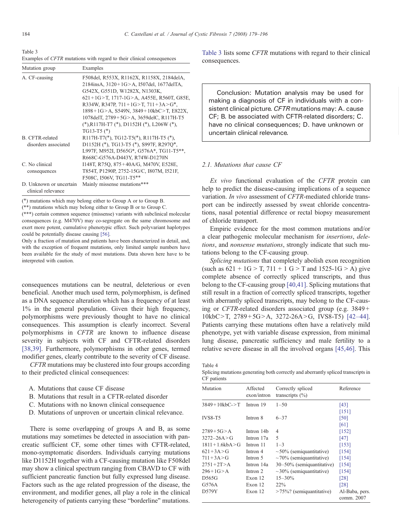<span id="page-5-0"></span>

Table 3

Examples of CFTR mutations with regard to their clinical consequences

| Mutation group                                | Examples                                                                                                                                                                                                                                                                                                                                                                    |  |  |
|-----------------------------------------------|-----------------------------------------------------------------------------------------------------------------------------------------------------------------------------------------------------------------------------------------------------------------------------------------------------------------------------------------------------------------------------|--|--|
| A. CF-causing                                 | F508del, R553X, R1162X, R1158X, 2184delA,<br>2184insA, 3120+1G>A, 1507del, 1677delTA,<br>G542X, G551D, W1282X, N1303K,<br>$621+1$ G $>$ T, 1717-1G $>$ A, A455E, R560T, G85E,<br>R334W, R347P, $711+1G > T$ , $711+3A > G^*$ ,<br>1898+1G>A, S549N, 3849+10kbC>T, E822X,<br>1078 del T, 2789 + 5G > A, 3659 del C, R117 H-T5<br>$(*), R117H-T7 (*), D1152H (*), L206W (*),$ |  |  |
| B. CFTR-related<br>disorders associated       | $TG13-T5$ $(*)$<br>$R117H-T7(*)$ , TG12-T5(*), R117H-T5 (*),<br>D1152H (*), TG13-T5 (*), S997F, R297Q*,<br>L997F, M952I, D565G*, G576A*, TG11-T5**,<br>R668C-G576A-D443Y, R74W-D1270N                                                                                                                                                                                       |  |  |
| C. No clinical<br>consequences                | I148T, R75O, 875+40A/G, M470V, E528E,<br>T854T, P1290P, 2752-15G/C, I807M, I521F,<br>F508C, I506V, TG11-T5**                                                                                                                                                                                                                                                                |  |  |
| D. Unknown or uncertain<br>clinical relevance | Mainly missense mutations***                                                                                                                                                                                                                                                                                                                                                |  |  |

(⁎) mutations which may belong either to Group A or to Group B.

 $(**)$  mutations which may belong either to Group B or to Group C. (⁎⁎⁎) certain common sequence (missense) variants with subclinical molecular consequences (e.g. M470V) may co-segregate on the same chromosome and exert more potent, cumulative phenotypic effect. Such polyvariant haplotypes could be potentially disease causing [\[56\]](#page-15-0).

Only a fraction of mutation and patients have been characterized in detail, and, with the exception of frequent mutations, only limited sample numbers have been available for the study of most mutations. Data shown here have to be interpreted with caution.

consequences mutations can be neutral, deleterious or even beneficial. Another much used term, polymorphism, is defined as a DNA sequence alteration which has a frequency of at least 1% in the general population. Given their high frequency, polymorphisms were previously thought to have no clinical consequences. This assumption is clearly incorrect. Several polymorphisms in CFTR are known to influence disease severity in subjects with CF and CFTR-related disorders [\[38,39\].](#page-14-0) Furthermore, polymorphisms in other genes, termed modifier genes, clearly contribute to the severity of CF disease.

CFTR mutations may be clustered into four groups according to their predicted clinical consequences:

- A. Mutations that cause CF disease
- B. Mutations that result in a CFTR-related disorder
- C. Mutations with no known clinical consequence
- D. Mutations of unproven or uncertain clinical relevance.

There is some overlapping of groups A and B, as some mutations may sometimes be detected in association with pancreatic sufficient CF, some other times with CFTR-related, mono-symptomatic disorders. Individuals carrying mutations like D1152H together with a CF-causing mutation like F508del may show a clinical spectrum ranging from CBAVD to CF with sufficient pancreatic function but fully expressed lung disease. Factors such as the age related progression of the disease, the environment, and modifier genes, all play a role in the clinical heterogeneity of patients carrying these "borderline" mutations.

Table 3 lists some CFTR mutations with regard to their clinical consequences.

Conclusion: Mutation analysis may be used for making a diagnosis of CF in individuals with a consistent clinical picture. CFTR mutations may: A. cause CF; B. be associated with CFTR-related disorders; C. have no clinical consequences; D. have unknown or uncertain clinical relevance.

## 2.1. Mutations that cause CF

Ex vivo functional evaluation of the CFTR protein can help to predict the disease-causing implications of a sequence variation. In vivo assessment of CFTR-mediated chloride transport can be indirectly assessed by sweat chloride concentrations, nasal potential difference or rectal biopsy measurement of chloride transport.

Empiric evidence for the most common mutations and/or a clear pathogenic molecular mechanism for insertions, deletions, and nonsense mutations, strongly indicate that such mutations belong to the CF-causing group.

Splicing mutations that completely abolish exon recognition (such as  $621 + 1G > T$ ,  $711 + 1 G > T$  and  $1525-1G > A$ ) give complete absence of correctly spliced transcripts, and thus belong to the CF-causing group [\[40,41\]](#page-15-0). Splicing mutations that still result in a fraction of correctly spliced transcripts, together with aberrantly spliced transcripts, may belong to the CF-causing or CFTR-related disorders associated group (e.g. 3849 +  $10kbC>T$ ,  $2789+5G>A$ ,  $3272-26A>G$ , IVS8-T5) [\[42](#page-15-0)-44]. Patients carrying these mutations often have a relatively mild phenotype, yet with variable disease expression, from minimal lung disease, pancreatic sufficiency and male fertility to a relative severe disease in all the involved organs [\[45,46\].](#page-15-0) This

Table 4

Splicing mutations generating both correctly and aberrantly spliced transcripts in CF patients

| $\sim$ - pww.exiso     |                         |                                          |                              |
|------------------------|-------------------------|------------------------------------------|------------------------------|
| Mutation               | Affected<br>exon/intron | Correctly spliced<br>transcripts $(\% )$ | Reference                    |
| $3849+10kbC-$ T        | Intron 19               | $1 - 50$                                 | [43]                         |
| <b>IVS8-T5</b>         | Intron 8                | $6 - 37$                                 | $[151]$<br>[50]<br>[61]      |
| $2789 + 5G > A$        | Intron 14 <sub>b</sub>  | 4                                        | $[152]$                      |
| $3272 - 26A > G$       | Intron 17a              | 5                                        | $[47]$                       |
| $1811 + 1.6$ kbA $>$ G | Intron 11               | $1 - 3$                                  | [153]                        |
| $621 + 3A > G$         | Intron 4                | $\sim$ 50% (semiquantitative)            | [154]                        |
| $711 + 3A > G$         | Intron 5                | $\sim$ 70% (semiquantitative)            | [154]                        |
| $2751 + 2T > A$        | Intron 14a              | 30–50% (semiquantitative)                | [154]                        |
| $296+1G > A$           | Intron 2                | $\sim$ 30% (semiguantitative)            | [154]                        |
| D565G                  | Exon 12                 | $15 - 30\%$                              | [28]                         |
| G576A                  | Exon 12                 | $22\%$                                   | [28]                         |
| D579Y                  | Exon 12                 | $>75\%$ ? (semiquantitative)             | Al-Baba, pers.<br>comm. 2007 |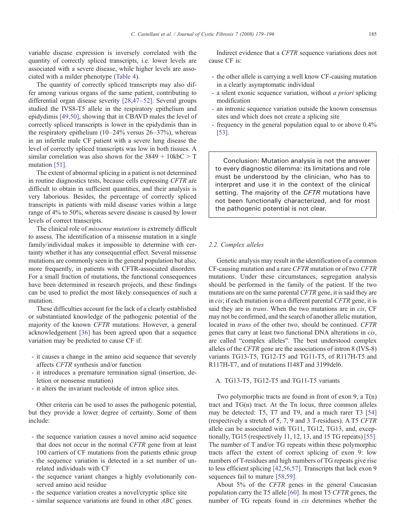variable disease expression is inversely correlated with the quantity of correctly spliced transcripts, i.e. lower levels are associated with a severe disease, while higher levels are associated with a milder phenotype [\(Table 4](#page-5-0)).

The quantity of correctly spliced transcripts may also differ among various organs of the same patient, contributing to differential organ disease severity [\[28,47](#page-14-0)–52]. Several groups studied the IVS8-T5 allele in the respiratory epithelium and epidydimis [\[49,50\]](#page-15-0), showing that in CBAVD males the level of correctly spliced transcripts is lower in the epidydimis than in the respiratory epithelium  $(10-24\% \text{ versus } 26-37\%)$ , whereas in an infertile male CF patient with a severe lung disease the level of correctly spliced transcripts was low in both tissues. A similar correlation was also shown for the  $3849 + 10kbC > T$ mutation [\[51\]](#page-15-0).

The extent of abnormal splicing in a patient is not determined in routine diagnostics tests, because cells expressing CFTR are difficult to obtain in sufficient quantities, and their analysis is very laborious. Besides, the percentage of correctly spliced transcripts in patients with mild disease varies within a large range of 4% to 50%, whereas severe disease is caused by lower levels of correct transcripts.

The clinical role of missense mutations is extremely difficult to assess. The identification of a missense mutation in a single family/individual makes it impossible to determine with certainty whether it has any consequential effect. Several missense mutations are commonly seen in the general population but also, more frequently, in patients with CFTR-associated disorders. For a small fraction of mutations, the functional consequences have been determined in research projects, and these findings can be used to predict the most likely consequences of such a mutation.

These difficulties account for the lack of a clearly established or substantiated knowledge of the pathogenic potential of the majority of the known CFTR mutations. However, a general acknowledgement [\[36\]](#page-14-0) has been agreed upon that a sequence variation may be predicted to cause CF if:

- it causes a change in the amino acid sequence that severely affects CFTR synthesis and/or function
- it introduces a premature termination signal (insertion, deletion or nonsense mutation)
- it alters the invariant nucleotide of intron splice sites.

Other criteria can be used to asses the pathogenic potential, but they provide a lower degree of certainty. Some of them include:

- the sequence variation causes a novel amino acid sequence that does not occur in the normal CFTR gene from at least 100 carriers of CF mutations from the patients ethnic group
- the sequence variation is detected in a set number of unrelated individuals with CF
- the sequence variant changes a highly evolutionarily conserved amino acid residue
- the sequence variation creates a novel/cryptic splice site
- similar sequence variations are found in other ABC genes.

Indirect evidence that a CFTR sequence variations does not cause CF is:

- the other allele is carrying a well know CF-causing mutation in a clearly asymptomatic individual
- a silent exonic sequence variation, without a priori splicing modification
- an intronic sequence variation outside the known consensus sites and which does not create a splicing site
- frequency in the general population equal to or above 0.4% [\[53\].](#page-15-0)

Conclusion: Mutation analysis is not the answer to every diagnostic dilemma: its limitations and role must be understood by the clinician, who has to interpret and use it in the context of the clinical setting. The majority of the CFTR mutations have not been functionally characterized, and for most the pathogenic potential is not clear.

# 2.2. Complex alleles

Genetic analysis may result in the identification of a common CF-causing mutation and a rare CFTR mutation or of two CFTR mutations. Under these circumstances, segregation analysis should be performed in the family of the patient. If the two mutations are on the same parental CFTR gene, it is said they are in *cis*; if each mutation is on a different parental *CFTR* gene, it is said they are in *trans*. When the two mutations are in *cis*, CF may not be confirmed, and the search of another allelic mutation, located in trans of the other two, should be continued. CFTR genes that carry at least two functional DNA alterations in cis, are called "complex alleles". The best understood complex alleles of the CFTR gene are the associations of intron 8 (IVS-8) variants TG13-T5, TG12-T5 and TG11-T5, of R117H-T5 and R117H-T7, and of mutations I148T and 3199del6.

## A. TG13-T5, TG12-T5 and TG11-T5 variants

Two polymorphic tracts are found in front of exon 9, a T(n) tract and TG(n) tract. At the Tn locus, three common alleles may be detected: T5, T7 and T9, and a much rarer T3 [\[54\]](#page-15-0) (respectively a stretch of 5, 7, 9 and 3 T-residues). A T5 CFTR allele can be associated with TG11, TG12, TG13, and, exceptionally, TG15 (respectively 11, 12, 13, and 15 TG repeats) [\[55\]](#page-15-0). The number of T and/or TG repeats within these polymorphic tracts affect the extent of correct splicing of exon 9: low numbers of T-residues and high numbers of TG repeats give rise to less efficient splicing [\[42,56,57\].](#page-15-0) Transcripts that lack exon 9 sequences fail to mature [\[58,59\].](#page-15-0)

About 5% of the CFTR genes in the general Caucasian population carry the T5 allele [\[60\]](#page-15-0). In most T5 CFTR genes, the number of TG repeats found in cis determines whether the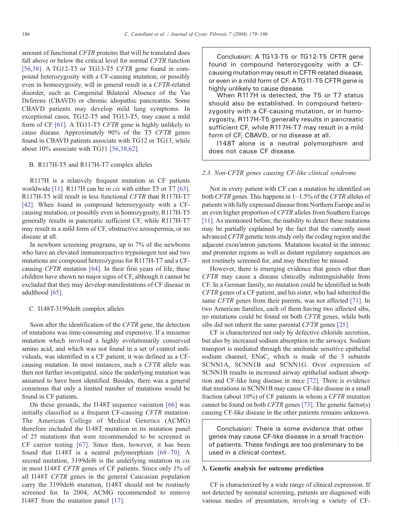amount of functional CFTR proteins that will be translated does fall above or below the critical level for normal CFTR function [\[56,38\].](#page-15-0) A TG12-T5 or TG13-T5 CFTR gene found in compound heterozygosity with a CF-causing mutation, or possibly even in homozygosity, will in general result in a CFTR-related disorder, such as Congenital Bilateral Absence of the Vas Deferens (CBAVD) or chronic idiopathic pancreatitis. Some CBAVD patients may develop mild lung symptoms. In exceptional cases, TG12-T5 and TG13-T5, may cause a mild form of CF [\[61\]](#page-15-0). A TG11-T5 CFTR gene is highly unlikely to cause disease. Approximately 90% of the T5 CFTR genes found in CBAVD patients associate with TG12 or TG13, while about 10% associate with TG11 [\[56,38,62\]](#page-15-0).

# B. R117H-T5 and R117H-T7 complex alleles

R117H is a relatively frequent mutation in CF patients worldwide [\[11\].](#page-14-0) R117H can be in *cis* with either T5 or T7 [\[63\]](#page-15-0). R117H-T5 will result in less functional CFTR than R117H-T7 [\[42\]](#page-15-0). When found in compound heterozygosity with a CFcausing mutation, or possibly even in homozygosity, R117H-T5 generally results in pancreatic sufficient CF, while R117H-T7 may result in a mild form of CF, obstructive azoospermia, or no disease at all.

In newborn screening programs, up to 7% of the newborns who have an elevated immunoreactive trypsinogen test and two mutations are compound heterozygous for R117H-T7 and a CFcausing CFTR mutation [\[64\]](#page-15-0). In their first years of life, these children have shown no major signs of CF, although it cannot be excluded that they may develop manifestations of CF disease in adulthood [\[65\].](#page-15-0)

# C. I148T-3199del6 complex alleles

Soon after the identification of the CFTR gene, the detection of mutations was time-consuming and expensive. If a missense mutation which involved a highly evolutionarily conserved amino acid, and which was not found in a set of control individuals, was identified in a CF patient, it was defined as a CFcausing mutation. In most instances, such a CFTR allele was then not further investigated, since the underlying mutation was assumed to have been identified. Besides, there was a general consensus that only a limited number of mutations would be found in CF patients.

On these grounds, the I148T sequence variation [\[66\]](#page-15-0) was initially classified as a frequent CF-causing CFTR mutation. The American College of Medical Genetics (ACMG) therefore included the I148T mutation in its mutation panel of 25 mutations that were recommended to be screened in CF carrier testing [\[67\]](#page-15-0). Since then, however, it has been found that I148T is a neutral polymorphism [68–[70\]](#page-15-0). A second mutation, 3199del6 is the underlying mutation in *cis* in most I148T CFTR genes of CF patients. Since only 1% of all I148T CFTR genes in the general Caucasian population carry the 3199del6 mutation, I148T should not be routinely screened for. In 2004, ACMG recommended to remove I148T from the mutation panel [\[17\].](#page-14-0)

Conclusion: A TG13-T5 or TG12-T5 CFTR gene found in compound heterozygosity with a CFcausing mutation may result in CFTR-related disease, or even in a mild form of CF. ATG11-T5 CFTR gene is highly unlikely to cause disease.

When R117H is detected, the T5 or T7 status should also be established. In compound heterozygosity with a CF-causing mutation, or in homozygosity, R117H-T5 generally results in pancreatic sufficient CF, while R117H-T7 may result in a mild form of CF, CBAVD, or no disease at all.

I148T alone is a neutral polymorphism and does not cause CF disease.

## 2.3. Non-CFTR genes causing CF-like clinical syndrome

Not in every patient with CF can a mutation be identified on both CFTR genes. This happens in 1–1.5% of the CFTR alleles of patients with fully expressed disease from Northern Europe and in an even higher proportion of CFTR alleles from Southern Europe [\[11\]](#page-14-0). As mentioned before, the inability to detect these mutations may be partially explained by the fact that the currently most advanced CFTR genetic tests study only the coding region and the adjacent exon/intron junctions. Mutations located in the intronic and promoter regions as well as distant regulatory sequences are not routinely screened for, and may therefore be missed.

However, there is emerging evidence that genes other than CFTR may cause a disease clinically indistinguishable from CF. In a German family, no mutation could be identified in both CFTR genes of a CF patient, and his sister, who had inherited the same *CFTR* genes from their parents, was not affected [\[71\]](#page-15-0). In two American families, each of them having two affected sibs, no mutations could be found on both CFTR genes, while both sibs did not inherit the same parental CFTR genes [\[25\].](#page-14-0)

CF is characterized not only by defective chloride secretion, but also by increased sodium absorption in the airways. Sodium transport is mediated through the amiloride sensitive epithelial sodium channel, ENaC, which is made of the 3 subunits SCNN1A, SCNN1B and SCNN1G. Over expression of SCNN1B results in increased airway epithelial sodium absorption and CF-like lung disease in mice [\[72\]](#page-15-0). There is evidence that mutations in SCNN1B may cause CF-like disease in a small fraction (about 10%) of CF patients in whom a CFTR mutation cannot be found on both CFTR genes [\[73\].](#page-15-0) The genetic factor(s) causing CF-like disease in the other patients remains unknown.

Conclusion: There is some evidence that other genes may cause CF-like disease in a small fraction of patients. These findings are too preliminary to be used in a clinical context.

#### 3. Genetic analysis for outcome prediction

CF is characterized by a wide range of clinical expression. If not detected by neonatal screening, patients are diagnosed with various modes of presentation, involving a variety of CF-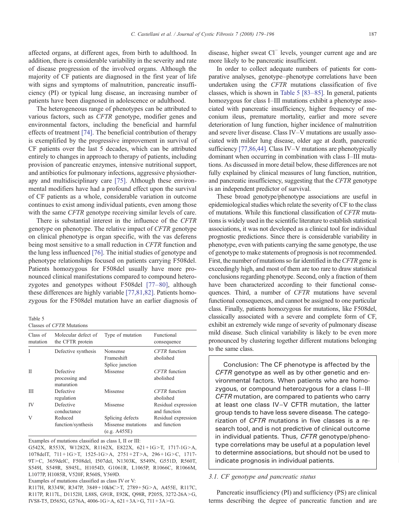affected organs, at different ages, from birth to adulthood. In addition, there is considerable variability in the severity and rate of disease progression of the involved organs. Although the majority of CF patients are diagnosed in the first year of life with signs and symptoms of malnutrition, pancreatic insufficiency (PI) or typical lung disease, an increasing number of patients have been diagnosed in adolescence or adulthood.

The heterogeneous range of phenotypes can be attributed to various factors, such as CFTR genotype, modifier genes and environmental factors, including the beneficial and harmful effects of treatment [\[74\].](#page-15-0) The beneficial contribution of therapy is exemplified by the progressive improvement in survival of CF patients over the last 5 decades, which can be attributed entirely to changes in approach to therapy of patients, including provision of pancreatic enzymes, intensive nutritional support, and antibiotics for pulmonary infections, aggressive physiotherapy and multidisciplinary care [\[75\].](#page-15-0) Although these environmental modifiers have had a profound effect upon the survival of CF patients as a whole, considerable variation in outcome continues to exist among individual patients, even among those with the same *CFTR* genotype receiving similar levels of care.

There is substantial interest in the influence of the CFTR genotype on phenotype. The relative impact of CFTR genotype on clinical phenotype is organ specific, with the vas deferens being most sensitive to a small reduction in CFTR function and the lung less influenced [\[76\].](#page-15-0) The initial studies of genotype and phenotype relationships focused on patients carrying F508del. Patients homozygous for F508del usually have more pronounced clinical manifestations compared to compound heterozygotes and genotypes without F508del [77–[80\],](#page-15-0) although these differences are highly variable [\[77,81,82\]](#page-15-0). Patients homozygous for the F508del mutation have an earlier diagnosis of

Table 5

Classes of CFTR Mutations

| Class of<br>mutation | Molecular defect of<br>the CFTR protein   | Type of mutation                                       | Functional<br>consequence           |
|----------------------|-------------------------------------------|--------------------------------------------------------|-------------------------------------|
| I                    | Defective synthesis                       | Nonsense<br>Frameshift<br>Splice junction              | CFTR function<br>abolished          |
| П                    | Defective<br>processing and<br>maturation | Missense                                               | <b>CFTR</b> function<br>abolished   |
| Ш                    | Defective<br>regulation                   | Missense                                               | CFTR function<br>abolished          |
| IV                   | Defective<br>conductance                  | Missense                                               | Residual expression<br>and function |
| V                    | Reduced<br>function/synthesis             | Splicing defects<br>Missense mutations<br>(e.g. A455E) | Residual expression<br>and function |

Examples of mutations classified as class I, II or III:

G542X, R553X, W1282X, R1162X, E822X, 621+1G>T, 1717-1G>A, 1078delT,  $711+1G>T$ ,  $1525-1G>A$ ,  $2751+2T>A$ ,  $296+1G>C$ , 1717-9T>C, 3659delC, F508del, I507del, N1303K, S549N, G551D, R560T, S549I, S549R, S945L, H1054D, G1061R, L1065P, R1066C, R1066M, L1077P, H1085R, V520F, R560S, Y569D.

Examples of mutations classified as class IV or V:

R117H, R334W, R347P, 3849+10kbC>T, 2789+5G>A, A455E, R117C, R117P, R117L, D1152H, L88S, G91R, E92K, Q98R, P205S, 3272-26A>G, IVS8-T5, D565G, G576A,  $4006-1G>A$ ,  $621+3A>G$ ,  $711+3A>G$ .

disease, higher sweat Cl<sup>−</sup> levels, younger current age and are more likely to be pancreatic insufficient.

In order to collect adequate numbers of patients for comparative analyses, genotype–phenotype correlations have been undertaken using the CFTR mutations classification of five classes, which is shown in Table 5 [\[83](#page-16-0)–85]. In general, patients homozygous for class I–III mutations exhibit a phenotype associated with pancreatic insufficiency, higher frequency of meconium ileus, premature mortality, earlier and more severe deterioration of lung function, higher incidence of malnutrition and severe liver disease. Class IV–V mutations are usually associated with milder lung disease, older age at death, pancreatic sufficiency [\[77,86,44\].](#page-15-0) Class IV–V mutations are phenotypically dominant when occurring in combination with class I–III mutations. As discussed in more detail below, these differences are not fully explained by clinical measures of lung function, nutrition, and pancreatic insufficiency, suggesting that the CFTR genotype is an independent predictor of survival.

These broad genotype/phenotype associations are useful in epidemiological studies which relate the severity of CF to the class of mutations. While this functional classification of CFTR mutations is widely used in the scientific literature to establish statistical associations, it was not developed as a clinical tool for individual prognostic predictions. Since there is considerable variability in phenotype, even with patients carrying the same genotype, the use of genotype to make statements of prognosis is not recommended. First, the number of mutations so far identified in the CFTR gene is exceedingly high, and most of them are too rare to draw statistical conclusions regarding phenotype. Second, only a fraction of them have been characterized according to their functional consequences. Third, a number of CFTR mutations have several functional consequences, and cannot be assigned to one particular class. Finally, patients homozygous for mutations, like F508del, classically associated with a severe and complete form of CF, exhibit an extremely wide range of severity of pulmonary disease mild disease. Such clinical variability is likely to be even more pronounced by clustering together different mutations belonging to the same class.

Conclusion: The CF phenotype is affected by the CFTR genotype as well as by other genetic and environmental factors. When patients who are homozygous, or compound heterozygous for a class I–III CFTR mutation, are compared to patients who carry at least one class IV–V CFTR mutation, the latter group tends to have less severe disease. The categorization of CFTR mutations in five classes is a research tool, and is not predictive of clinical outcome in individual patients. Thus, CFTR genotype/phenotype correlations may be useful at a population level to determine associations, but should not be used to indicate prognosis in individual patients.

#### 3.1. CF genotype and pancreatic status

Pancreatic insufficiency (PI) and sufficiency (PS) are clinical terms describing the degree of pancreatic function and are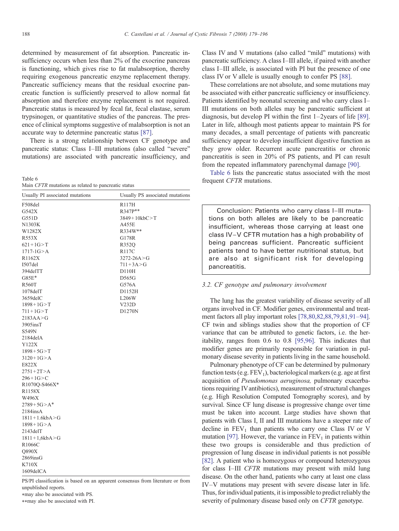determined by measurement of fat absorption. Pancreatic insufficiency occurs when less than 2% of the exocrine pancreas is functioning, which gives rise to fat malabsorption, thereby requiring exogenous pancreatic enzyme replacement therapy. Pancreatic sufficiency means that the residual exocrine pancreatic function is sufficiently preserved to allow normal fat absorption and therefore enzyme replacement is not required. Pancreatic status is measured by fecal fat, fecal elastase, serum trypsinogen, or quantitative studies of the pancreas. The presence of clinical symptoms suggestive of malabsorption is not an accurate way to determine pancreatic status [\[87\]](#page-16-0).

There is a strong relationship between CF genotype and pancreatic status: Class I–III mutations (also called "severe" mutations) are associated with pancreatic insufficiency, and

| Table 6 |  |  |                                                     |
|---------|--|--|-----------------------------------------------------|
|         |  |  | Main CFTR mutations as related to pancreatic status |

| <b>R117H</b><br>R347P**<br>$3849 + 10kbC > T$<br>A455E<br>R334W**<br>G178R<br>R352Q<br><b>R117C</b><br>$3272 - 26A > G$<br>$711 + 3A > G$<br>D110H<br>D565G<br>G576A<br>$1078$ del $T$<br>D1152H<br>L206W<br>$1898 + 1G > T$<br>V232D<br>D1270N | Usually PI associated mutations | Usually PS associated mutations |
|-------------------------------------------------------------------------------------------------------------------------------------------------------------------------------------------------------------------------------------------------|---------------------------------|---------------------------------|
|                                                                                                                                                                                                                                                 | F508del                         |                                 |
|                                                                                                                                                                                                                                                 | G542X                           |                                 |
|                                                                                                                                                                                                                                                 | G551D                           |                                 |
|                                                                                                                                                                                                                                                 | N1303K                          |                                 |
|                                                                                                                                                                                                                                                 | W1282X                          |                                 |
|                                                                                                                                                                                                                                                 | R553X                           |                                 |
|                                                                                                                                                                                                                                                 | $621 + 1G > T$                  |                                 |
|                                                                                                                                                                                                                                                 | $1717 - 1G > A$                 |                                 |
|                                                                                                                                                                                                                                                 | R <sub>1162</sub> X             |                                 |
|                                                                                                                                                                                                                                                 | 1507del                         |                                 |
|                                                                                                                                                                                                                                                 | 394delTT                        |                                 |
|                                                                                                                                                                                                                                                 | $G85E*$                         |                                 |
|                                                                                                                                                                                                                                                 | <b>R560T</b>                    |                                 |
|                                                                                                                                                                                                                                                 |                                 |                                 |
|                                                                                                                                                                                                                                                 | 3659delC                        |                                 |
|                                                                                                                                                                                                                                                 |                                 |                                 |
|                                                                                                                                                                                                                                                 | $711 + 1G > T$                  |                                 |
|                                                                                                                                                                                                                                                 | 2183AA > G                      |                                 |
|                                                                                                                                                                                                                                                 | $3905$ insT                     |                                 |
|                                                                                                                                                                                                                                                 | S549N                           |                                 |
|                                                                                                                                                                                                                                                 | 2184delA                        |                                 |
|                                                                                                                                                                                                                                                 | Y122X                           |                                 |
|                                                                                                                                                                                                                                                 | $1898 + 5G > T$                 |                                 |
|                                                                                                                                                                                                                                                 | $3120 + 1G > A$                 |                                 |
|                                                                                                                                                                                                                                                 | E822X                           |                                 |
|                                                                                                                                                                                                                                                 | $2751 + 2T > A$                 |                                 |
|                                                                                                                                                                                                                                                 | $296+1G > C$                    |                                 |
|                                                                                                                                                                                                                                                 | R1070Q-S466X*                   |                                 |
|                                                                                                                                                                                                                                                 | R1158X                          |                                 |
|                                                                                                                                                                                                                                                 | W496X                           |                                 |
|                                                                                                                                                                                                                                                 | $2789 + 5G > A^*$               |                                 |
|                                                                                                                                                                                                                                                 | $2184$ ins $A$                  |                                 |
|                                                                                                                                                                                                                                                 | $1811 + 1.6kbA > G$             |                                 |
|                                                                                                                                                                                                                                                 | $1898 + 1G > A$                 |                                 |
|                                                                                                                                                                                                                                                 | $2143$ del $T$                  |                                 |
|                                                                                                                                                                                                                                                 | $1811 + 1,6kbA > G$             |                                 |
|                                                                                                                                                                                                                                                 | R1066C                          |                                 |
|                                                                                                                                                                                                                                                 | Q890X                           |                                 |
|                                                                                                                                                                                                                                                 | $2869$ insG                     |                                 |
|                                                                                                                                                                                                                                                 | K710X                           |                                 |
| 1609delCA                                                                                                                                                                                                                                       |                                 |                                 |

PS/PI classification is based on an apparent consensus from literature or from unpublished reports.

⁎may also be associated with PS.

⁎⁎may also be associated with PI.

Class IV and V mutations (also called "mild" mutations) with pancreatic sufficiency. A class I–III allele, if paired with another class I–III allele, is associated with PI but the presence of one class IV or V allele is usually enough to confer PS [\[88\]](#page-16-0).

These correlations are not absolute, and some mutations may be associated with either pancreatic sufficiency or insufficiency. Patients identified by neonatal screening and who carry class I– III mutations on both alleles may be pancreatic sufficient at diagnosis, but develop PI within the first 1–2years of life [\[89\]](#page-16-0). Later in life, although most patients appear to maintain PS for many decades, a small percentage of patients with pancreatic sufficiency appear to develop insufficient digestive function as they grow older. Recurrent acute pancreatitis or chronic pancreatitis is seen in 20% of PS patients, and PI can result from the repeated inflammatory parenchymal damage [\[90\]](#page-16-0).

Table 6 lists the pancreatic status associated with the most frequent CFTR mutations.

Conclusion: Patients who carry class I–III mutations on both alleles are likely to be pancreatic insufficient, whereas those carrying at least one class IV–V CFTR mutation has a high probability of being pancreas sufficient. Pancreatic sufficient patients tend to have better nutritional status, but are also at significant risk for developing pancreatitis.

## 3.2. CF genotype and pulmonary involvement

The lung has the greatest variability of disease severity of all organs involved in CF. Modifier genes, environmental and treatment factors all play important roles [\[78,80,82,88,79,81,91](#page-15-0)–94]. CF twin and siblings studies show that the proportion of CF variance that can be attributed to genetic factors, i.e. the heritability, ranges from 0.6 to 0.8 [\[95,96\].](#page-16-0) This indicates that modifier genes are primarily responsible for variation in pulmonary disease severity in patients living in the same household.

Pulmonary phenotype of CF can be determined by pulmonary function tests (e.g.  $FEV<sub>1</sub>$ ), bacteriological markers (e.g. age at first acquisition of Pseudomonas aeruginosa, pulmonary exacerbations requiring IVantibiotics), measurement of structural changes (e.g. High Resolution Computed Tomography scores), and by survival. Since CF lung disease is progressive change over time must be taken into account. Large studies have shown that patients with Class I, II and III mutations have a steeper rate of decline in  $FEV<sub>1</sub>$  than patients who carry one Class IV or V mutation [\[97\].](#page-16-0) However, the variance in  $FEV<sub>1</sub>$  in patients within these two groups is considerable and thus prediction of progression of lung disease in individual patients is not possible [\[82\].](#page-16-0) A patient who is homozygous or compound heterozygous for class I–III CFTR mutations may present with mild lung disease. On the other hand, patients who carry at least one class IV–V mutations may present with severe disease later in life. Thus, for individual patients, it is impossible to predict reliably the severity of pulmonary disease based only on CFTR genotype.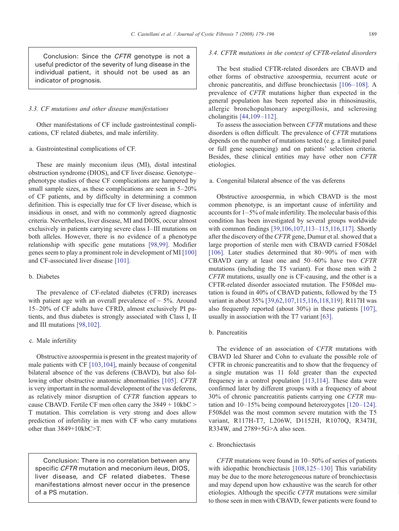Conclusion: Since the CFTR genotype is not a useful predictor of the severity of lung disease in the individual patient, it should not be used as an indicator of prognosis.

# 3.3. CF mutations and other disease manifestations

Other manifestations of CF include gastrointestinal complications, CF related diabetes, and male infertility.

# a. Gastrointestinal complications of CF.

These are mainly meconium ileus (MI), distal intestinal obstruction syndrome (DIOS), and CF liver disease. Genotype– phenotype studies of these CF complications are hampered by small sample sizes, as these complications are seen in  $5-20\%$ of CF patients, and by difficulty in determining a common definition. This is especially true for CF liver disease, which is insidious in onset, and with no commonly agreed diagnostic criteria. Nevertheless, liver disease, MI and DIOS, occur almost exclusively in patients carrying severe class I–III mutations on both alleles. However, there is no evidence of a phenotype relationship with specific gene mutations [\[98,99\].](#page-16-0) Modifier genes seem to play a prominent role in development of MI [\[100\]](#page-16-0) and CF-associated liver disease [\[101\].](#page-16-0)

### b. Diabetes

The prevalence of CF-related diabetes (CFRD) increases with patient age with an overall prevalence of  $\sim$  5%. Around 15–20% of CF adults have CFRD, almost exclusively PI patients, and thus diabetes is strongly associated with Class I, II and III mutations [\[98,102\]](#page-16-0).

#### c. Male infertility

Obstructive azoospermia is present in the greatest majority of male patients with CF [\[103,104\],](#page-16-0) mainly because of congenital bilateral absence of the vas deferens (CBAVD), but also following other obstructive anatomic abnormalities [\[105\]](#page-16-0). CFTR is very important in the normal development of the vas deferens, as relatively minor disruption of CFTR function appears to cause CBAVD. Fertile CF men often carry the  $3849 + 10 \text{kbC}$ T mutation. This correlation is very strong and does allow prediction of infertility in men with CF who carry mutations other than  $3849+10kbC>T$ .

Conclusion: There is no correlation between any specific CFTR mutation and meconium ileus, DIOS, liver disease, and CF related diabetes. These manifestations almost never occur in the presence of a PS mutation.

## 3.4. CFTR mutations in the context of CFTR-related disorders

The best studied CFTR-related disorders are CBAVD and other forms of obstructive azoospermia, recurrent acute or chronic pancreatitis, and diffuse bronchiectasis [106–[108\].](#page-16-0) A prevalence of CFTR mutations higher than expected in the general population has been reported also in rhinosinusitis, allergic bronchopulmonary aspergillosis, and sclerosing cholangitis [\[44,109](#page-15-0)–112].

To assess the association between CFTR mutations and these disorders is often difficult. The prevalence of CFTR mutations depends on the number of mutations tested (e.g. a limited panel or full gene sequencing) and on patients' selection criteria. Besides, these clinical entities may have other non CFTR etiologies.

# a. Congenital bilateral absence of the vas deferens

Obstructive azoospermia, in which CBAVD is the most common phenotype, is an important cause of infertility and accounts for 1–5% of male infertility. The molecular basis of this condition has been investigated by several groups worldwide with common findings [\[39,106,107,113](#page-15-0)–115,116,117]. Shortly after the discovery of the CFTR gene, Dumur et al. showed that a large proportion of sterile men with CBAVD carried F508del [\[106\].](#page-16-0) Later studies determined that 80-90% of men with CBAVD carry at least one and 50–60% have two CFTR mutations (including the T5 variant). For those men with 2 CFTR mutations, usually one is CF-causing, and the other is a CFTR-related disorder associated mutation. The F508del mutation is found in 40% of CBAVD patients, followed by the T5 variant in about 35% [\[39,62,107,115,116,118,119\]](#page-15-0). R117H was also frequently reported (about 30%) in these patients [\[107\]](#page-16-0), usually in association with the T7 variant [\[63\].](#page-15-0)

## b. Pancreatitis

The evidence of an association of CFTR mutations with CBAVD led Sharer and Cohn to evaluate the possible role of CFTR in chronic pancreatitis and to show that the frequency of a single mutation was 11 fold greater than the expected frequency in a control population [\[113,114\].](#page-16-0) These data were confirmed later by different groups with a frequency of about 30% of chronic pancreatitis patients carrying one CFTR mutation and 10–15% being compound heterozygotes [120–[124\]](#page-16-0). F508del was the most common severe mutation with the T5 variant, R117H-T7, L206W, D1152H, R1070Q, R347H, R334W, and  $2789+5G>A$  also seen.

# c. Bronchiectasis

CFTR mutations were found in 10–50% of series of patients with idiopathic bronchiectasis [\[108,125](#page-16-0)–130] This variability may be due to the more heterogeneous nature of bronchiectasis and may depend upon how exhaustive was the search for other etiologies. Although the specific CFTR mutations were similar to those seen in men with CBAVD, fewer patients were found to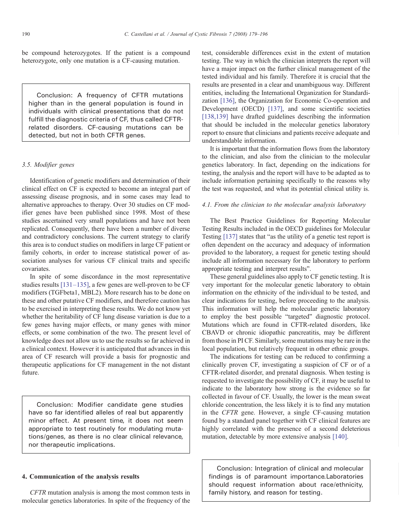be compound heterozygotes. If the patient is a compound heterozygote, only one mutation is a CF-causing mutation.

Conclusion: A frequency of CFTR mutations higher than in the general population is found in individuals with clinical presentations that do not fulfill the diagnostic criteria of CF, thus called CFTRrelated disorders. CF-causing mutations can be detected, but not in both CFTR genes.

# 3.5. Modifier genes

Identification of genetic modifiers and determination of their clinical effect on CF is expected to become an integral part of assessing disease prognosis, and in some cases may lead to alternative approaches to therapy. Over 30 studies on CF modifier genes have been published since 1998. Most of these studies ascertained very small populations and have not been replicated. Consequently, there have been a number of diverse and contradictory conclusions. The current strategy to clarify this area is to conduct studies on modifiers in large CF patient or family cohorts, in order to increase statistical power of association analyses for various CF clinical traits and specific covariates.

In spite of some discordance in the most representative studies results [131–[135\],](#page-17-0) a few genes are well-proven to be CF modifiers (TGFbeta1, MBL2). More research has to be done on these and other putative CF modifiers, and therefore caution has to be exercised in interpreting these results. We do not know yet whether the heritability of CF lung disease variation is due to a few genes having major effects, or many genes with minor effects, or some combination of the two. The present level of knowledge does not allow us to use the results so far achieved in a clinical context. However it is anticipated that advances in this area of CF research will provide a basis for prognostic and therapeutic applications for CF management in the not distant future.

Conclusion: Modifier candidate gene studies have so far identified alleles of real but apparently minor effect. At present time, it does not seem appropriate to test routinely for modulating mutations/genes, as there is no clear clinical relevance, nor therapeutic implications.

## 4. Communication of the analysis results

CFTR mutation analysis is among the most common tests in molecular genetics laboratories. In spite of the frequency of the test, considerable differences exist in the extent of mutation testing. The way in which the clinician interprets the report will have a major impact on the further clinical management of the tested individual and his family. Therefore it is crucial that the results are presented in a clear and unambiguous way. Different entities, including the International Organization for Standardization [\[136\]](#page-17-0), the Organization for Economic Co-operation and Development (OECD) [\[137\],](#page-17-0) and some scientific societies [\[138,139\]](#page-17-0) have drafted guidelines describing the information that should be included in the molecular genetics laboratory report to ensure that clinicians and patients receive adequate and understandable information.

It is important that the information flows from the laboratory to the clinician, and also from the clinician to the molecular genetics laboratory. In fact, depending on the indications for testing, the analysis and the report will have to be adapted as to include information pertaining specifically to the reasons why the test was requested, and what its potential clinical utility is.

## 4.1. From the clinician to the molecular analysis laboratory

The Best Practice Guidelines for Reporting Molecular Testing Results included in the OECD guidelines for Molecular Testing [\[137\]](#page-17-0) states that "as the utility of a genetic test report is often dependent on the accuracy and adequacy of information provided to the laboratory, a request for genetic testing should include all information necessary for the laboratory to perform appropriate testing and interpret results".

These general guidelines also apply to CF genetic testing. It is very important for the molecular genetic laboratory to obtain information on the ethnicity of the individual to be tested, and clear indications for testing, before proceeding to the analysis. This information will help the molecular genetic laboratory to employ the best possible "targeted" diagnostic protocol. Mutations which are found in CFTR-related disorders, like CBAVD or chronic idiopathic pancreatitis, may be different from those in PI CF. Similarly, some mutations may be rare in the local population, but relatively frequent in other ethnic groups.

The indications for testing can be reduced to confirming a clinically proven CF, investigating a suspicion of CF or of a CFTR-related disorder, and prenatal diagnosis. When testing is requested to investigate the possibility of CF, it may be useful to indicate to the laboratory how strong is the evidence so far collected in favour of CF. Usually, the lower is the mean sweat chloride concentration, the less likely it is to find any mutation in the CFTR gene. However, a single CF-causing mutation found by a standard panel together with CF clinical features are highly correlated with the presence of a second deleterious mutation, detectable by more extensive analysis [\[140\]](#page-17-0).

Conclusion: Integration of clinical and molecular findings is of paramount importance.Laboratories should request information about race/ethnicity, family history, and reason for testing.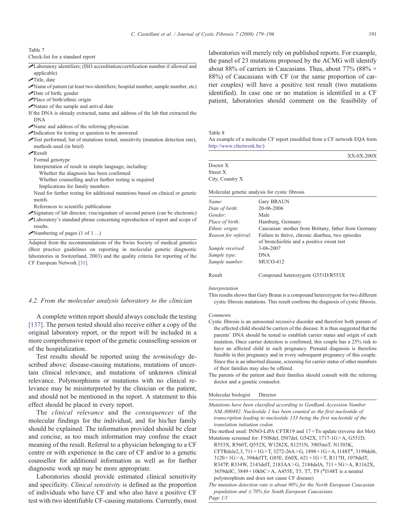<span id="page-12-0"></span>Table 7

Check-list for a standard report

✓Laboratory identifiers; (ISO accreditation/certification number if allowed and applicable)

 $\sqrt{\text{Title}}$ , date

- ✓Name of patient (at least two identifiers; hospital number, sample number, etc) ✓Date of birth, gender
- ✓Place of birth/ethnic origin
- ✓Nature of the sample and arrival date
- If the DNA is already extracted, name and address of the lab that extracted the DNA
- ✓Name and address of the referring physician
- $\blacktriangleright$ Indication for testing or question to be answered
- ✓Test performed, list of mutations tested, sensitivity (mutation detection rate), methods used (in brief)
- ✓Result

Formal genotype

- Interpretation of result in simple language, including:
- Whether the diagnosis has been confirmed
- Whether counselling and/or further testing is required
- Implications for family members
- Need for further testing for additional mutations based on clinical or genetic motifs
- References to scientific publications
- ✓Signature of lab director, visa/signature of second person (can be electronic) ✓Laboratory's standard phrase concerning reproduction of report and scope of results.
- $\blacktriangleright$ Numbering of pages (1 of 1 ...)

Adapted from the recommendations of the Swiss Society of medical genetics (Best practice guidelines on reporting in molecular genetic diagnostic laboratories in Switzerland, 2003) and the quality criteria for reporting of the CF European Network [\[31\]](#page-14-0).

## 4.2. From the molecular analysis laboratory to the clinician

A complete written report should always conclude the testing [\[137\].](#page-17-0) The person tested should also receive either a copy of the original laboratory report, or the report will be included in a more comprehensive report of the genetic counselling session or of the hospitalization.

Test results should be reported using the terminology described above: disease-causing mutations, mutations of uncertain clinical relevance, and mutations of unknown clinical relevance. Polymorphisms or mutations with no clinical relevance may be misinterpreted by the clinician or the patient, and should not be mentioned in the report. A statement to this effect should be placed in every report.

The clinical relevance and the consequences of the molecular findings for the individual, and for his/her family should be explained. The information provided should be clear and concise, as too much information may confuse the exact meaning of the result. Referral to a physician belonging to a CF centre or with experience in the care of CF and/or to a genetic counsellor for additional information as well as for further diagnostic work up may be more appropriate.

Laboratories should provide estimated clinical sensitivity and specificity. Clinical sensitivity is defined as the proportion of individuals who have CF and who also have a positive CF test with two identifiable CF-causing mutations. Currently, most laboratories will merely rely on published reports. For example, the panel of 23 mutations proposed by the ACMG will identify about 88% of carriers in Caucasians. Thus, about 77% (88%  $\times$ 88%) of Caucasians with CF (or the same proportion of carrier couples) will have a positive test result (two mutations identified). In case one or no mutation is identified in a CF patient, laboratories should comment on the feasibility of

Table 8

An example of a molecular CF report (modified from a CF network EQA form <http://www.cfnetwork.be/>)

|                           | $XX-0X-200X$                                                 |
|---------------------------|--------------------------------------------------------------|
| Doctor X                  |                                                              |
| Street X                  |                                                              |
| City, Country X           |                                                              |
| Name:                     | Molecular genetic analysis for cystic fibrosis<br>Gary BRAUN |
|                           | 20-06-2006                                                   |
| Date of birth:<br>Gender: | Male                                                         |
|                           |                                                              |
| Place of birth:           | Hamburg, Germany                                             |
| Ethnic origin:            | Caucasian: mother from Brittany, father from Germany         |

| Reason for referral: | Failure to thrive, chronic diarrhea, two episodes |
|----------------------|---------------------------------------------------|
|                      | of bronchiolitis and a positive sweat test        |
| Sample received:     | 3-06-2007                                         |
| Sample type:         | <b>DNA</b>                                        |
| Sample number:       | MUCO-412                                          |
|                      |                                                   |

Result Compound heterozygote G551D/R553X

#### Interpretation

This results shows that Gary Braun is a compound heterozygote for two different cystic fibrosis mutations. This result confirms the diagnosis of cystic fibrosis.

#### Comments

- Cystic fibrosis is an autosomal recessive disorder and therefore both parents of the affected child should be carriers of the disease. It is thus suggested that the parents' DNA should be tested to establish carrier status and origin of each mutation. Once carrier detection is confirmed, this couple has a 25% risk to have an affected child in each pregnancy. Prenatal diagnosis is therefore feasible in this pregnancy and in every subsequent pregnancy of this couple. Since this is an inherited disease, screening for carrier status of other members of their families may also be offered.
- The parents of the patient and their families should consult with the referring doctor and a genetic counselor.

#### Molecular biologist Director

Mutations have been classified according to GenBank Accession Number NM\_000492. Nucleotide 1 has been counted as the first nucleotide of transcription leading to nucleotide 133 being the first nucleotide of the translation initiation codon.

The method used: INNO-LiPA CFTR19 and 17 +Tn update (reverse dot blot) Mutations screened for: F508del, I507del, G542X, 1717-1G>A, G551D,

R553X, R560T, Q552X, W1282X, S1251N, 3905insT, N1303K, CFTRdele2,3,  $711 + 1G > T$ ,  $3272-26A > G$ ,  $1898 + 1G > A$ ,  $1148T<sup>*</sup>$ ,  $3199$ del6, 3120 + 1G > A, 394delTT, G85E, E60X, 621 + 1G > T, R117H, 1078delT, R347P, R334W, 2143delT, 2183AA>G, 2184delA, 711+5G>A, R1162X, 3659delC, 3849+10kbC>A, A455E, T5, T7, T9 (\*I148T is a neutral polymorphism and does not cause CF disease)

The mutation detection rate is about 90% for the North European Caucasian population and  $\leq 70\%$  for South European Caucasians.

Page 1/1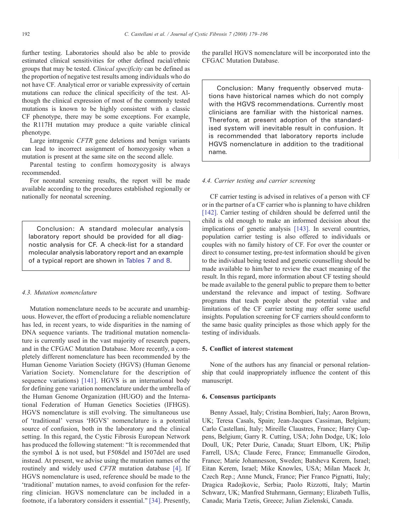further testing. Laboratories should also be able to provide estimated clinical sensitivities for other defined racial/ethnic groups that may be tested. Clinical specificity can be defined as the proportion of negative test results among individuals who do not have CF. Analytical error or variable expressivity of certain mutations can reduce the clinical specificity of the test. Although the clinical expression of most of the commonly tested mutations is known to be highly consistent with a classic CF phenotype, there may be some exceptions. For example, the R117H mutation may produce a quite variable clinical phenotype.

Large intragenic CFTR gene deletions and benign variants can lead to incorrect assignment of homozygosity when a mutation is present at the same site on the second allele.

Parental testing to confirm homozygosity is always recommended.

For neonatal screening results, the report will be made available according to the procedures established regionally or nationally for neonatal screening.

Conclusion: A standard molecular analysis laboratory report should be provided for all diagnostic analysis for CF. A check-list for a standard molecular analysis laboratory report and an example of a typical report are shown in [Tables 7 and 8](#page-12-0).

#### 4.3. Mutation nomenclature

Mutation nomenclature needs to be accurate and unambiguous. However, the effort of producing a reliable nomenclature has led, in recent years, to wide disparities in the naming of DNA sequence variants. The traditional mutation nomenclature is currently used in the vast majority of research papers, and in the CFGAC Mutation Database. More recently, a completely different nomenclature has been recommended by the Human Genome Variation Society (HGVS) (Human Genome Variation Society. Nomenclature for the description of sequence variations) [\[141\].](#page-17-0) HGVS is an international body for defining gene variation nomenclature under the umbrella of the Human Genome Organization (HUGO) and the International Federation of Human Genetics Societies (IFHGS). HGVS nomenclature is still evolving. The simultaneous use of 'traditional' versus 'HGVS' nomenclature is a potential source of confusion, both in the laboratory and the clinical setting. In this regard, the Cystic Fibrosis European Network has produced the following statement: "It is recommended that the symbol  $\Delta$  is not used, but F508del and I507del are used instead. At present, we advise using the mutation names of the routinely and widely used CFTR mutation database [\[4\].](#page-14-0) If HGVS nomenclature is used, reference should be made to the 'traditional' mutation names, to avoid confusion for the referring clinician. HGVS nomenclature can be included in a footnote, if a laboratory considers it essential." [\[34\]](#page-14-0). Presently, the parallel HGVS nomenclature will be incorporated into the CFGAC Mutation Database.

Conclusion: Many frequently observed mutations have historical names which do not comply with the HGVS recommendations. Currently most clinicians are familiar with the historical names. Therefore, at present adoption of the standardised system will inevitable result in confusion. It is recommended that laboratory reports include HGVS nomenclature in addition to the traditional name.

## 4.4. Carrier testing and carrier screening

CF carrier testing is advised in relatives of a person with CF or in the partner of a CF carrier who is planning to have children [\[142\]](#page-17-0). Carrier testing of children should be deferred until the child is old enough to make an informed decision about the implications of genetic analysis [\[143\]](#page-17-0). In several countries, population carrier testing is also offered to individuals or couples with no family history of CF. For over the counter or direct to consumer testing, pre-test information should be given to the individual being tested and genetic counselling should be made available to him/her to review the exact meaning of the result. In this regard, more information about CF testing should be made available to the general public to prepare them to better understand the relevance and impact of testing. Software programs that teach people about the potential value and limitations of the CF carrier testing may offer some useful insights. Population screening for CF carriers should conform to the same basic quality principles as those which apply for the testing of individuals.

# 5. Conflict of interest statement

None of the authors has any financial or personal relationship that could inappropriately influence the content of this manuscript.

# 6. Consensus participants

Benny Assael, Italy; Cristina Bombieri, Italy; Aaron Brown, UK; Teresa Casals, Spain; Jean-Jacques Cassiman, Belgium; Carlo Castellani, Italy; Mireille Claustres, France; Harry Cuppens, Belgium; Garry R. Cutting, USA; John Dodge, UK; Iolo Doull, UK; Peter Durie, Canada; Stuart Elborn, UK; Philip Farrell, USA; Claude Ferec, France; Emmanuelle Girodon, France; Marie Johannesson, Sweden; Batsheva Kerem, Israel; Eitan Kerem, Israel; Mike Knowles, USA; Milan Macek Jr, Czech Rep.; Anne Munck, France; Pier Franco Pignatti, Italy; Dragica Radojkovic, Serbia; Paolo Rizzotti, Italy; Martin Schwarz, UK; Manfred Stuhrmann, Germany; Elizabeth Tullis, Canada; Maria Tzetis, Greece; Julian Zielenski, Canada.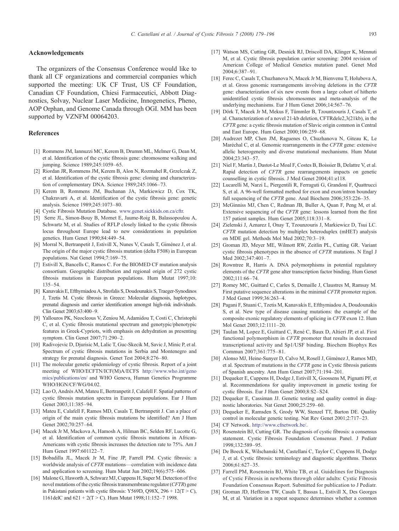#### <span id="page-14-0"></span>Acknowledgements

The organizers of the Consensus Conference would like to thank all CF organizations and commercial companies which supported the meeting: UK CF Trust, US CF Foundation, Canadian CF Foundation, Chiesi Farmaceutici, Abbott Diagnostics, Solvay, Nuclear Laser Medicine, Innogenetics, Pheno, AOP Orphan, and Genome Canada through OGI. MM has been supported by VZNFM 00064203.

## References

- [1] Rommens JM, Iannuzzi MC, Kerem B, Drumm ML, Melmer G, Dean M, et al. Identification of the cystic fibrosis gene: chromosome walking and jumping. Science 1989;245:1059–65.
- [2] Riordan JR, Rommens JM, Kerem B, Alon N, Rozmahel R, Grzelczak Z, et al. Identification of the cystic fibrosis gene: cloning and characterization of complementary DNA. Science 1989;245:1066–73.
- [3] Kerem B, Rommens JM, Buchanan JA, Markiewicz D, Cox TK, Chakravarti A, et al. Identification of the cystic fibrosis gene: genetic analysis. Science 1989;245:1073–80.
- [4] Cystic Fibrosis Mutation Database. [www.genet.sickkids.on.ca/cftr.](http://www.genet.sickkids.on.ca/cftr)
- [5] Serre JL, Simon-Bouy B, Mornet E, Jaume-Roig B, Balassopoulou A, Schwartz M, et al. Studies of RFLP closely linked to the cystic fibrosis locus throughout Europe lead to new considerations in population genetics. Hum Genet 1990;84:449–54.
- [6] Morral N, Bertranpetit J, Estivill X, Nunes V, Casals T, Giménez J, et al. The origin of the major cystic fibrosis mutation (delta F508) in European populations. Nat Genet 1994;7:169–75.
- [7] Estivill X, Bancells C, Ramos C. For the BIOMED CF mutation analysis consortium. Geographic distribution and regional origin of 272 cystic fibrosis mutations in European populations. Hum Mutat 1997;10: 135–54.
- [8] Kanavakis E, Efthymiadou A, Strofalis S, Doudounakis S, Traeger-Synodinos J, Tzetis M. Cystic fibrosis in Greece: Molecular diagnosis, haplotypes, prenatal diagnosis and carrier identification amongst high-risk individuals. Clin Genet 2003;63:400–9.
- [9] Yallouros PK, Neocleous V, Zeniou M, Adamidou T, Costi C, Christophi C, et al. Cystic fibrosis mutational spectrum and genotypic/phenotypic features in Greek-Cypriots, with emphasis on dehydration as presenting symptom. Clin Genet 2007;71:290–2.
- [10] Radivojevic D, Djurisic M, Lalic T, Guc-Skecik M, Savic J, Minic P, et al. Spectrum of cystic fibrosis mutations in Serbia and Montenegro and strategy for prenatal diagnosis. Genet Test 2004;8:276–80.
- [11] The molecular genetic epidemiology of cystic fibrosis. Report of a joint meeting of WHO/ECFTN/ICF(M)A/ECFS [http://www.who.int/geno](http://www.who.int/genomics/publications/en/) [mics/publications/en/](http://www.who.int/genomics/publications/en/) and WHO Geneva, Human Genetics Programme WHO/HGN/CF/WG/04.02.
- [12] Lao O, Andrés AM, Mateu E, Bertranpetit J, Calafell F. Spatial patterns of cystic fibrosis mutation spectra in European populations. Eur J Hum Genet 2003;11:385–94.
- [13] Mateu E, Calafell F, Ramos MD, Casals T, Bertranpetit J. Can a place of origin of the main cystic fibrosis mutations be identified? Am J Hum Genet 2002;70:257–64.
- [14] Macek Jr M, Mackova A, Hamosh A, Hilman BC, Selden RF, Lucotte G, et al. Identification of common cystic fibrosis mutations in African-Americans with cystic fibrosis increases the detection rate to 75%. Am J Hum Genet 1997:601122–7.
- [15] Bobadilla JL, Macek Jr M, Fine JP, Farrell PM. Cystic fibrosis: a worldwide analysis of CFTR mutations—correlation with incidence data and application to screening. Hum Mutat Jun 2002;19(6):575–606.
- [16] Malone G, Haworth A, Schwarz MJ, Cuppens H, Super M. Detection of five novel mutations of the cystic fibrosis transmembrane regulator (CFTR) gene in Pakistani patients with cystic fibrosis: Y569D, Q98X, 296 + 12(T > C), 1161delC and  $621 + 2(T > C)$ . Hum Mutat 1998;11:152-7 1998.
- [17] Watson MS, Cutting GR, Desnick RJ, Driscoll DA, Klinger K, Mennuti M, et al. Cystic fibrosis population carrier screening: 2004 revision of American College of Medical Genetics mutation panel. Genet Med 2004;6:387–91.
- [18] Ferec C, Casals T, Chuzhanova N, Macek Jr M, Bienvenu T, Holubova A, et al. Gross genomic rearrangements involving deletions in the CFTR gene: characterization of six new events from a large cohort of hitherto unidentified cystic fibrosis chromosomes and meta-analysis of the underlying mechanisms. Eur J Hum Genet 2006;14:567–76.
- [19] Dörk T, Macek Jr M, Mekus F, Tümmler B, Tzountzouris J, Casals T, et al. Characterization of a novel 21-kb deletion, CFTRdele2,3(21kb), in the CFTR gene: a cystic fibrosis mutation of Slavic origin common in Central and East Europe. Hum Genet 2000;106:259–68.
- [20] Audrezet MP, Chen JM, Raguenes O, Chuzhanova N, Giteau K, Le Maréchal C, et al. Genomic rearrangements in the CFTR gene: extensive allelic heterogeneity and diverse mutational mechanisms. Hum Mutat 2004;23:343–57.
- [21] Niel F, Martin J, Dastot-Le Moal F, Costes B, Boissier B, Delattre V, et al. Rapid detection of CFTR gene rearrangements impacts on genetic counselling in cystic fibrosis. J Med Genet 2004;41:e118.
- [22] Lucarelli M, Narzi L, Piergentili R, Ferraguti G, Grandoni F, Quattrucci S, et al. A 96-well formatted method for exon and exon/intron boundary full sequencing of the CFTR gene. Anal Biochem 2006;353:226–35.
- [23] McGinniss MJ, Chen C, Redman JB, Buller A, Quan F, Peng M, et al. Extensive sequencing of the CFTR gene: lessons learned from the first 157 patient samples. Hum Genet 2005;118:331–8.
- [24] Zielenski J, Aznarez I, Onay T, Tzounzouris J, Markiewicz D, Tsui LC. CFTR mutation detection by multiplex heteroduplex (mHET) analysis on MDE gel. Methods Mol Med 2002;70:3–19.
- [25] Groman JD, Meyer ME, Wilmott RW, Zeitlin PL, Cutting GR. Variant cystic fibrosis phenotypes in the absence of CFTR mutations. N Engl J Med 2002;347:401–7.
- [26] Rowntree R, Harris A. DNA polymorphisms in potential regulatory elements of the CFTR gene alter transcription factor binding. Hum Genet  $2002:111:66-74$
- [27] Romey MC, Guittard C, Carles S, Demaille J, Claustres M, Ramsay M. First putative sequence alterations in the minimal CFTR promoter region. J Med Genet 1999;36:263–4.
- [28] Pagani F, Stuani C, Tzetis M, Kanavakis E, Efthymiadou A, Doudounakis S, et al. New type of disease causing mutations: the example of the composite exonic regulatory elements of splicing in CFTR exon 12. Hum Mol Genet 2003;12:1111–20.
- [29] Taulan M, Lopez E, Guittard C, René C, Baux D, Altieri JP, et al. First functional polymorphism in CFTR promoter that results in decreased transcriptional activity and Sp1/USF binding. Biochem Biophys Res Commun 2007;361:775–81.
- [30] Alonso MJ, Heine-Sunyer D, Calvo M, Rosell J, Giménez J, Ramos MD, et al. Spectrum of mutations in the CFTR gene in Cystic fibrosis patients of Spanish ancestry. Ann Hum Genet 2007;71:194–201.
- [31] Dequeker E, Cuppens H, Dodge J, Estivill X, Goossens M, Pignatti PF, et al. Recommendations for quality improvement in genetic testing for cystic fibrosis. Eur J Hum Genet 2000;8:S2–S24.
- [32] Dequeker E, Cassiman JJ. Genetic testing and quality control in diagnostic laboratories. Nat Genet 2000;25:259–60.
- [33] Dequeker E, Ramsden S, Grody WW, Stenzel TT, Barton DE. Quality control in molecular genetic testing. Nat Rev Genet 2001;2:717–23.
- [34] CF Network. <http://www.cfnetwork.be/>.
- [35] Rosenstein BJ, Cutting GR. The diagnosis of cystic fibrosis: a consensus statement. Cystic Fibrosis Foundation Consensus Panel. J Pediatr 1998;132:589–95.
- [36] De Boeck K, Wilschanski M, Castellani C, Taylor C, Cuppens H, Dodge J, et al. Cystic fibrosis: terminology and diagnostic algorithms. Thorax 2006;61:627–35.
- [37] Farrell PM, Rosenstein BJ, White TB, et al. Guidelines for Diagnosis of Cystic Fibrosis in newborns throwgh older adults: Cystic Fibrosis Foundation Consensus Report. Submitted for publication to J Pediatr.
- [38] Groman JD, Hefferon TW, Casals T, Bassas L, Estivill X, Des Georges M, et al. Variation in a repeat sequence determines whether a common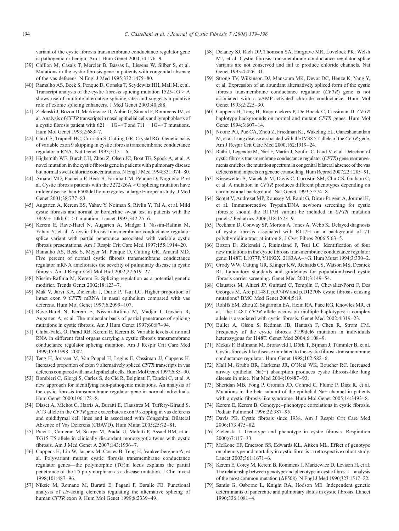<span id="page-15-0"></span>variant of the cystic fibrosis transmembrane conductance regulator gene is pathogenic or benign. Am J Hum Genet 2004;74:176–9.

- [39] Chillon M, Casals T, Mercier B, Bassas L, Lissens W, Silber S, et al. Mutations in the cystic fibrosis gene in patients with congenital absence of the vas deferens. N Engl J Med 1995;332:1475–80.
- [40] Ramalho AS, Beck S, Penque D, Gonska T, Seydewitz HH, Mall M, et al. Transcript analysis of the cystic fibrosis splicing mutation  $1525-1G > A$ shows use of multiple alternative splicing sites and suggests a putative role of exonic splicing enhancers. J Med Genet 2003;40:e88.
- [41] Zielenski J, Bozon D, Markiewicz D, Aubin G, Simard F, Rommens JM, et al. Analysis of CFTR transcripts in nasal epithelial cells and lymphoblasts of a cystic fibrosis patient with  $621 + 1G \rightarrow T$  and  $711 + 1G \rightarrow T$  mutations. Hum Mol Genet 1993;2:683–7.
- [42] Chu CS, Trapnell BC, Curristin S, Cutting GR, Crystal RG. Genetic basis of variable exon 9 skipping in cystic fibrosis transmembrane conductance regulator mRNA. Nat Genet 1993;3:151–6.
- [43] Highsmith WE, Burch LH, Zhou Z, Olsen JC, Boat TE, Spock A, et al. A novel mutation in the cystic fibrosis gene in patients with pulmonary disease but normal sweat chloride concentrations. N Engl J Med 1994;331:974–80.
- [44] Amaral MD, Pacheco P, Beck S, Farinha CM, Penque D, Nogueira P, et al. Cystic fibrosis patients with the  $3272-26A > G$  splicing mutation have milder disease than F508del homozygotes: a large European study. J Med Genet 2001;38:777–83.
- [45] Augarten A, Kerem BS, Yahav Y, Noiman S, Rivlin Y, Tal A, et al. Mild cystic fibrosis and normal or borderline sweat test in patients with the  $3849 + 10kb$  C->T mutation. Lancet 1993;342:25-6.
- [46] Kerem E, Rave-Harel N, Augarten A, Madgar I, Nissim-Rafinia M, Yahav Y, et al. A cystic fibrosis transmembrane conductance regulator splice variant with partial penetrance associated with variable cystic fibrosis presentations. Am J Respir Crit Care Med 1997;155:1914–20.
- [47] Ramalho AS, Beck S, Meyer M, Penque D, Cutting GR, Amaral MD. Five percent of normal cystic fibrosis transmembrane conductance regulator mRNA ameliorates the severity of pulmonary disease in cystic fibrosis. Am J Respir Cell Mol Biol 2002;27:619–27.
- [48] Nissim-Rafinia M, Kerem B. Splicing regulation as a potential genetic modifier. Trends Genet 2002;18:123–7.
- [49] Mak V, Jarvi KA, Zielenski J, Durie P, Tsui LC. Higher proportion of intact exon 9 CFTR mRNA in nasal epithelium compared with vas deferens. Hum Mol Genet 1997;6:2099–107.
- [50] Rave-Harel N, Kerem E, Nissim-Rafinia M, Madjar I, Goshen R, Augarten A, et al. The molecular basis of partial penetrance of splicing mutations in cystic fibrosis. Am J Hum Genet 1997;60:87–94.
- [51] Chiba-Falek O, Parad RB, Kerem E, Kerem B. Variable levels of normal RNA in different fetal organs carrying a cystic fibrosis transmembrane conductance regulator splicing mutation. Am J Respir Crit Care Med 1999;159:1998–2002.
- [52] Teng H, Jorissen M, Van Poppel H, Legius E, Cassiman JJ, Cuppens H. Increased proportion of exon 9 alternatively spliced CFTR transcripts in vas deferens compared with nasal epithelial cells. Hum Mol Genet 1997;6:85–90.
- [53] Bombieri C, Giorgi S, Carles S, de Cid R, Belpinati F, Tandoi C, et al. A new approach for identifying non-pathogenic mutations. An analysis of the cystic fibrosis transmembrane regulator gene in normal individuals. Hum Genet 2000;106:172–8.
- [54] Disset A, Michot C, Harris A, Buratti E, Claustres M, Tuffery-Giraud S. AT3 allele in the CFTR gene exacerbates exon 9 skipping in vas deferens and epididymal cell lines and is associated with Congenital Bilateral Absence of Vas Deferens (CBAVD). Hum Mutat 2005;25:72–81.
- [55] Picci L, Cameran M, Scarpa M, Pradal U, Melotti P, Assael BM, et al. TG15 T5 allele in clinically discordant monozygotic twins with cystic fibrosis. Am J Med Genet A 2007;143:1936–7.
- [56] Cuppens H, Lin W, Jaspers M, Costes B, Teng H, Vankeerberghen A, et al. Polyvariant mutant cystic fibrosis transmembrane conductance regulator genes—the polymorphic (TG)m locus explains the partial penetrance of the T5 polymorphism as a disease mutation. J Clin Invest 1998;101:487–96.
- [57] Niksic M, Romano M, Buratti E, Pagani F, Baralle FE. Functional analysis of cis-acting elements regulating the alternative splicing of human CFTR exon 9. Hum Mol Genet 1999;8:2339–49.
- [58] Delaney SJ, Rich DP, Thomson SA, Hargrave MR, Lovelock PK, Welsh MJ, et al. Cystic fibrosis transmembrane conductance regulator splice variants are not conserved and fail to produce chloride channels. Nat Genet 1993;4:426–31.
- [59] Strong TV, Wilkinson DJ, Mansoura MK, Devor DC, Henze K, Yang Y, et al. Expression of an abundant alternatively spliced form of the cystic fibrosis transmembrane conductance regulator (CFTR) gene is not associated with a cAMP-activated chloride conductance. Hum Mol Genet  $1993 \cdot 2.225 - 30$
- [60] Cuppens H, Teng H, Raeymaekers P, De Boeck C, Cassiman JJ. CFTR haplotype backgrounds on normal and mutant CFTR genes. Hum Mol Genet 1994;3:607–14.
- [61] Noone PG, Pue CA, Zhou Z, Friedman KJ, Wakeling EL, Ganeshananthan M, et al. Lung disease associated with the IVS8 5T allele of the CFTR gene. Am J Respir Crit Care Med 2000;162:1919–24.
- [62] Ratbi I, Legendre M, Niel F, Martin J, Soufir JC, Izard V, et al. Detection of cystic fibrosis transmembrane conductance regulator (CFTR) gene rearrangements enriches the mutation spectrum in congenital bilateral absence of the vas deferens and impacts on genetic counselling. Hum Reprod 2007;22:1285–91.
- [63] Kiesewetter S, Macek Jr M, Davis C, Curristin SM, Chu CS, Graham C, et al. A mutation in CFTR produces different phenotypes depending on chromosomal background. Nat Genet 1993;5:274–8.
- [64] Scotet V, Audrezet MP, Roussey M, Rault G, Dirou-Prigent A, Journel H, et al. Immunoreactive Trypsin/DNA newborn screening for cystic fibrosis: should the R117H variant be included in CFTR mutation panels? Pediatrics 2006;118:1523–9.
- [65] Peckham D, Conway SP, Morton A, Jones A, Webb K. Delayed diagnosis of cystic fibrosis associated with R117H on a background of 7T polythymidine tract at intron 8. J Cyst Fibros 2006;5:63–5.
- [66] Bozon D, Zielenski J, Rininsland F, Tsui LC. Identification of four new mutations in the cystic fibrosis transmembrane conductance regulator gene: I148T, L1077P, Y1092X, 2183AA->G. Hum Mutat 1994;3:330-2.
- [67] Grody WW, Cutting GR, Klinger KW, Richards CS, Watson MS, Desnick RJ. Laboratory standards and guidelines for population-based cystic fibrosis carrier screening. Genet Med 2001;3:149–54.
- [68] Claustres M, Altieri JP, Guittard C, Templin C, Chevalier-Porst F, Des Georges M. Are p.I148T, p.R74W and p.D1270N cystic fibrosis causing mutations? BMC Med Genet 2004;5:19.
- [69] Rohlfs EM, Zhou Z, Sugarman EA, Heim RA, Pace RG, Knowles MR, et al. The I148T CFTR allele occurs on multiple haplotypes: a complex allele is associated with cystic fibrosis. Genet Med 2002;4:319–23.
- [70] Buller A, Olson S, Redman JB, Hantash F, Chen R, Strom CM. Frequency of the cystic fibrosis 3199del6 mutation in individuals heterozygous for I148T. Genet Med 2004;6:108–9.
- [71] Mekus F, Ballmann M, Bronsveld I, Dörk T, Bijman J, Tümmler B, et al. Cystic-fibrosis-like disease unrelated to the cystic fibrosis transmembrane conductance regulator. Hum Genet 1998;102:582–6.
- [72] Mall M, Grubb BR, Harkema JR, O'Neal WK, Boucher RC. Increased airway epithelial Na(+) absorption produces cystic fibrosis-like lung disease in mice. Nat Med 2004;10:487–93.
- [73] Sheridan MB, Fong P, Groman JD, Conrad C, Flume P, Diaz R, et al. Mutations in the beta subunit of the epithelial Na+ channel in patients with a cystic fibrosis-like syndrome. Hum Mol Genet 2005;14:3493–8.
- [74] Kerem E, Kerem B. Genotype–phenotype correlations in cystic fibrosis. Pediatr Pulmonol 1996;22:387–95.
- [75] Davis PB. Cystic fibrosis since 1938. Am J Respir Crit Care Med 2006;173:475–82.
- [76] Zielenski J. Genotype and phenotype in cystic fibrosis. Respiration 2000;67:117–33.
- [77] McKone EF, Emerson SS, Edwards KL, Aitken ML. Effect of genotype on phenotype and mortality in cystic fibrosis: a retrospective cohort study. Lancet 2003;361:1671–6.
- [78] Kerem E, Corey M, Kerem B, Rommens J, Markiewicz D, Levison H, et al. The relationship between genotype and phenotype in cystic fibrosis—analysis of the most common mutation (ΔF508). N Engl J Med 1990;323:1517–22.
- [79] Santis G, Osborne L, Knight RA, Hodson ME. Independent genetic determinants of pancreatic and pulmonary status in cystic fibrosis. Lancet 1990;336:1081–4.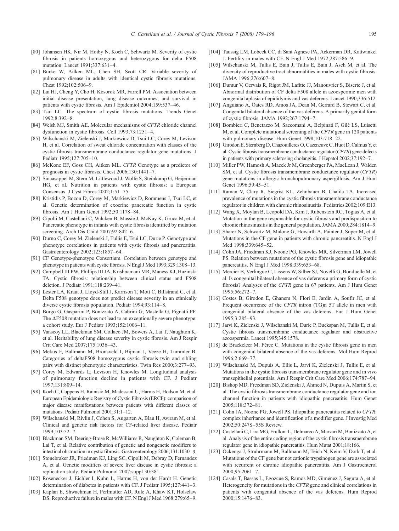- <span id="page-16-0"></span>[80] Johansen HK, Nir M, Hoiby N, Koch C, Schwartz M. Severity of cystic fibrosis in patients homozygous and heterozygous for delta F508 mutation. Lancet 1991;337:631–4.
- [81] Burke W, Aitken ML, Chen SH, Scott CR. Variable severity of pulmonary disease in adults with identical cystic fibrosis mutations. Chest 1992;102:506–9.
- [82] Lai HJ, Cheng Y, Cho H, Kosorok MR, Farrell PM. Association between initial disease presentation, lung disease outcomes, and survival in patients with cystic fibrosis. Am J Epidemiol 2004;159:537–46.
- [83] Tsui LC. The spectrum of cystic fibrosis mutations. Trends Genet 1992;8:392–8.
- [84] Welsh MJ, Smith AE. Molecular mechanisms of CFTR chloride channel dysfunction in cystic fibrosis. Cell 1993;73:1251–4.
- [85] Wilschanski M, Zielenski J, Markiewicz D, Tsui LC, Corey M, Levison H, et al. Correlation of sweat chloride concentration with classes of the cystic fibrosis transmembrane conductance regulator gene mutations. J Pediatr 1995;127:705–10.
- [86] McKone EF, Goss CH, Aitken ML. CFTR Genotype as a predictor of prognosis in cystic fibrosis. Chest 2006;130:1441–7.
- [87] Sinaasappel M, Stern M, Littlewood J, Wolfe S, Steinkamp G, Heijerman HG, et al. Nutrition in patients with cystic fibrosis: a European Consensus. J Cyst Fibros 2002;1:51–75.
- [88] Kristidis P, Bozon D, Corey M, Markiewicz D, Rommens J, Tsui LC, et al. Genetic determination of exocrine pancreatic function in cystic fibrosis. Am J Hum Genet 1992;50:1178–84.
- [89] Cipolli M, Castellani C, Wilcken B, Massie J, McKay K, Gruca M, et al. Pancreatic phenotype in infants with cystic fibrosis identified by mutation screening. Arch Dis Child 2007;92:842–6.
- [90] Durno C, Corey M, Zielenski J, Tullis E, Tsui LC, Durie P. Genotype and phenotype correlations in patients with cystic fibrosis and pancreatitis. Gastroenterology 2002;123:1857–64.
- [91] CF Genotype-phenotype Consortium. Correlation between genotype and phenotype in patients with cystic fibrosis. N Engl J Med 1993;329:1308–13.
- [92] Campbell III PW, Phillips III JA, Krishnamani MR, Maness KJ, Hazinski TA. Cystic fibrosis: relationship between clinical status and F508 deletion. J Pediatr 1991;118:239–41.
- [93] Lester LA, Kraut J, Lloyd-Still J, Karrison T, Mott C, Billstrand C, et al. Delta F508 genotype does not predict disease severity in an ethnically diverse cystic fibrosis population. Pediatr 1994;93:114–8.
- [94] Borgo G, Gasparini P, Bonizzato A, Cabrini G, Mastella G, Pignatti PF. The  $\Delta$ F508 mutation does not lead to an exceptionally severe phenotype: a cohort study. Eur J Pediatr 1993;152:1006–11.
- [95] Vanscoy LL, Blackman SM, Collaco JM, Bowers A, Lai T, Naughton K, et al. Heritability of lung disease severity in cystic fibrosis. Am J Respir Crit Care Med 2007;175:1036–43.
- [96] Mekus F, Ballmann M, Bronsveld I, Bijman J, Veeze H, Tummler B. Categories of deltaF508 homozygous cystic fibrosis twin and sibling pairs with distinct phenotypic characteristics. Twin Res 2000;3:277–93.
- [97] Corey M, Edwards L, Levison H, Knowles M. Longitudinal analysis of pulmonary function decline in patients with CF. J Pediatr 1997;131:809–14.
- [98] Koch C, Cuppens H, Rainisio M, Madessani U, Harms H, Hodson M, et al. European Epidemiologic Registry of Cystic Fibrosis (ERCF): comparison of major disease manifestations between patients with different classes of mutations. Pediatr Pulmonol 2001;31:1–12.
- [99] Wilschanski M, Rivlin J, Cohen S, Augarten A, Blau H, Aviram M, et al. Clinical and genetic risk factors for CF-related liver disease. Pediatr 1999;103:52–7.
- [100] Blackman SM, Deering-Brose R, McWilliams R, Naughton K, Coleman B, Lai T, et al. Relative contribution of genetic and nongenetic modifiers to intestinal obstruction in cystic fibrosis. Gastroenterology 2006;131:1030–9.
- [101] Stonebraker JR, Friedman KJ, Ling SC, Cipolli M, Debray D, Fernandez A, et al. Genetic modifiers of severe liver disease in cystic fibrosis: a replication study. Pediatr Pulmonol 2007;suppl 30:381.
- [102] Rosenecker J, Eichler I, Kuhn L, Harms H, von der Hardt H. Genetic determination of diabetes in patients with CF. J Pediatr 1995;127:441–3.
- [103] Kaplan E, Shwachman H, Perlmutter AD, Rule A, Khaw KT, Holsclaw DS. Reproductive failure in males with CF. N Engl J Med 1968;279:65–9.
- [104] Taussig LM, Lobeck CC, di Sant Agnese PA, Ackerman DR, Kattwinkel J. Fertility in males with CF. N Engl J Med 1972;287:586–9.
- [105] Wilschanski M, Tullis E, Bain J, Tullis E, Bain J, Asch M, et al. The diversity of reproductive tract abnormalities in males with cystic fibrosis. JAMA 1996;276:607–8.
- [106] Dumur V, Gervais R, Rigot JM, Lafitte JJ, Manouvrier S, Biserte J, et al. Abnormal distribution of CF delta F508 allele in azoospermic men with congenital aplasia of epididymis and vas deferens. Lancet 1990;336:512.
- [107] Anguiano A, Oates RD, Amos JA, Dean M, Gerrard B, Stewart C, et al. Congenital bilateral absence of the vas deferens. A primarily genital form of cystic fibrosis. JAMA 1992;267:1794–7.
- [108] Bombieri C, Benetazzo M, Saccomani A, Belpinati F, Gilè LS, Luisetti M, et al. Complete mutational screening of the CFTR gene in 120 patients with pulmonary disease. Hum Genet 1998;103:718–22.
- [109] Girodon E, Sternberg D, Chazouilleres O, Cazeneuve C, Huot D, Calmus Y, et al. Cystic fibrosis transmembrane conductance regulator (CFTR) gene defects in patients with primary sclerosing cholangitis. J Hepatol 2002;37:192–7.
- [110] Miller PW, Hamosh A, Macek Jr M, Greenberger PA, MacLean J, Walden SM, et al. Cystic fibrosis transmembrane conductance regulator (CFTR) gene mutations in allergic bronchopulmonary aspergillosis. Am J Hum Genet 1996;59:45-51.
- [111] Raman V, Clary R, Siegrist KL, Zehnbauer B, Chatila TA. Increased prevalence of mutations in the cystic fibrosis transmembrane conductance regulator in children with chronic rhinosinusitis. Pediatrics 2002;109:E13.
- [112] Wang X, Moylan B, Leopold DA, Kim J, Rubenstein RC, Togias A, et al. Mutation in the gene responsible for cystic fibrosis and predisposition to chronic rhinosinusitis in the general population. JAMA 2000;284:1814–9.
- [113] Sharer N, Schwartz M, Malone G, Howarth A, Painter J, Super M, et al. Mutations in the CF gene in patients with chronic pancreatitis. N Engl J Med 1998;339:645–52.
- [114] Cohn JA, Friedman KJ, Noone PG, Knowles MR, Silverman LM, Jowell PS. Relation between mutations of the cystic fibrosis gene and idiopathic pancreatitis. N Engl J Med 1998;339:653–68.
- [115] Mercier B, Verlingue C, Lissens W, Silber SJ, Novelli G, Bonduelle M, et al. Is congenital bilateral absence of vas deferens a primary form of cystic fibrosis? Analyses of the CFTR gene in 67 patients. Am J Hum Genet 1995;56:272–7.
- [116] Costes B, Girodon E, Ghanem N, Flori E, Jardin A, Soufir JC, et al. Frequent occurrence of the CFTR intron (TG)n 5T allele in men with congenital bilateral absence of the vas deferens. Eur J Hum Genet 1995;3:285–93.
- [117] Jarvi K, Zielenski J, Wilschanski M, Durie P, Buckspan M, Tullis E, et al. Cystic fibrosis transmembrane conductance regulator and obstructive azoospermia. Lancet 1995;345:1578.
- [118] de Braekeleer M, Férec C. Mutations in the cystic fibrosis gene in men with congenital bilateral absence of the vas deferens. Mol Hum Reprod 1996;2:669–77.
- [119] Wilschanski M, Dupuis A, Ellis L, Jarvi K, Zielenski J, Tullis E, et al. Mutations in the cystic fibrosis transmembrane regulator gene and in vivo transepithelial potentials. Am J Respir Crit Care Med 2006;174:787–94.
- [120] Bishop MD, Freedman SD, Zielenski J, Ahmed N, Dupuis A, Martin S, et al. The cystic fibrosis transmembrane conductance regulator gene and ion channel function in patients with idiopathic pancreatitis. Hum Genet 2005;118:372–81.
- [121] Cohn JA, Noone PG, Jowell PS. Idiopathic pancreatitis related to CFTR: complex inheritance and identification of a modifier gene. J Investig Med 2002;50:247S–55S Review.
- [122] Castellani C, Lira MG, Frulloni L, Delmarco A, Marzari M, Bonizzato A, et al. Analysis of the entire coding region of the cystic fibrosis transmembrane regulator gene in idiopathic pancreatitis. Hum Mutat 2001;18:166.
- [123] Ockenga J, Struhrmann M, Ballmann M, Teich N, Keim V, Dork T, et al. Mutations of the CF gene but not cationic trypsinogen gene are associated with recurrent or chronic idiopathic pancreatitis. Am J Gastroenterol 2000;95:2061–7.
- [124] Casals T, Bassas L, Egozcue S, Ramos MD, Giménez J, Segura A, et al. Heterogeneity for mutations in the CFTR gene and clinical correlations in patients with congenital absence of the vas deferens. Hum Reprod 2000;15:1476–83.